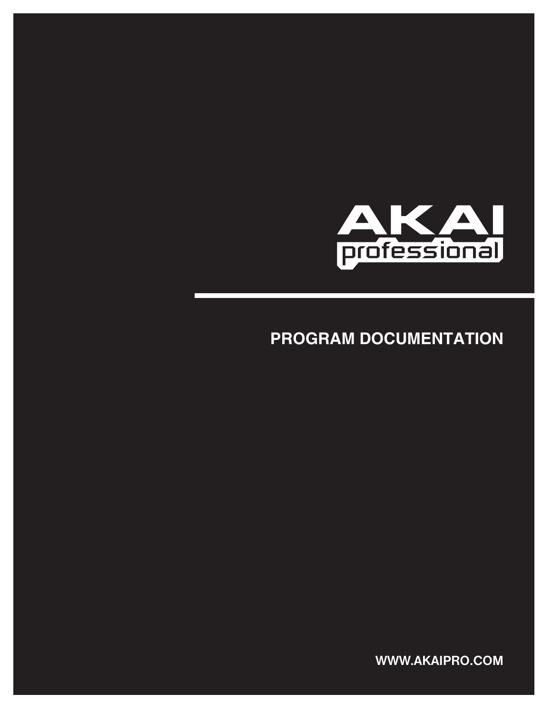

# **PROGRAM DOCUMENTATION**

**WWW.AKAIPRO.COM**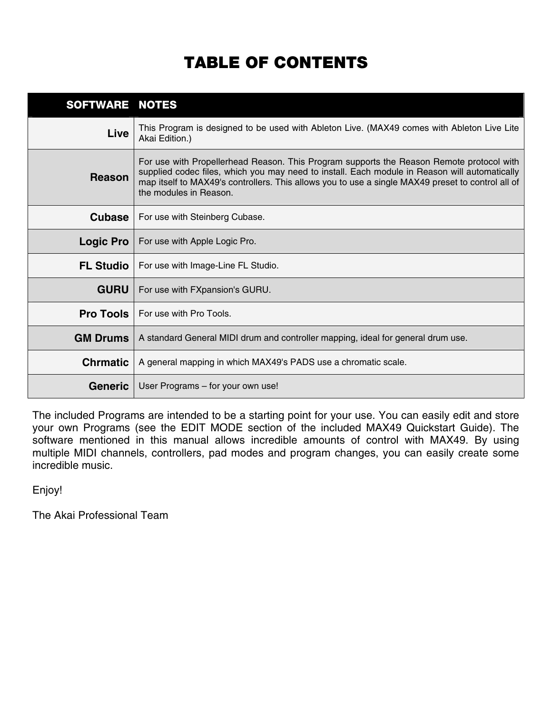# **TABLE OF CONTENTS**

| SOFTWARE NOTES   |                                                                                                                                                                                                                                                                                                                          |
|------------------|--------------------------------------------------------------------------------------------------------------------------------------------------------------------------------------------------------------------------------------------------------------------------------------------------------------------------|
| Live             | This Program is designed to be used with Ableton Live. (MAX49 comes with Ableton Live Lite<br>Akai Edition.)                                                                                                                                                                                                             |
| <b>Reason</b>    | For use with Propellerhead Reason. This Program supports the Reason Remote protocol with<br>supplied codec files, which you may need to install. Each module in Reason will automatically<br>map itself to MAX49's controllers. This allows you to use a single MAX49 preset to control all of<br>the modules in Reason. |
| <b>Cubase</b>    | For use with Steinberg Cubase.                                                                                                                                                                                                                                                                                           |
| <b>Logic Pro</b> | For use with Apple Logic Pro.                                                                                                                                                                                                                                                                                            |
| <b>FL Studio</b> | For use with Image-Line FL Studio.                                                                                                                                                                                                                                                                                       |
| <b>GURU</b>      | For use with FXpansion's GURU.                                                                                                                                                                                                                                                                                           |
| <b>Pro Tools</b> | For use with Pro Tools.                                                                                                                                                                                                                                                                                                  |
| <b>GM Drums</b>  | A standard General MIDI drum and controller mapping, ideal for general drum use.                                                                                                                                                                                                                                         |
| <b>Chrmatic</b>  | A general mapping in which MAX49's PADS use a chromatic scale.                                                                                                                                                                                                                                                           |
| <b>Generic</b>   | User Programs - for your own use!                                                                                                                                                                                                                                                                                        |

The included Programs are intended to be a starting point for your use. You can easily edit and store your own Programs (see the EDIT MODE section of the included MAX49 Quickstart Guide). The software mentioned in this manual allows incredible amounts of control with MAX49. By using multiple MIDI channels, controllers, pad modes and program changes, you can easily create some incredible music.

Enjoy!

The Akai Professional Team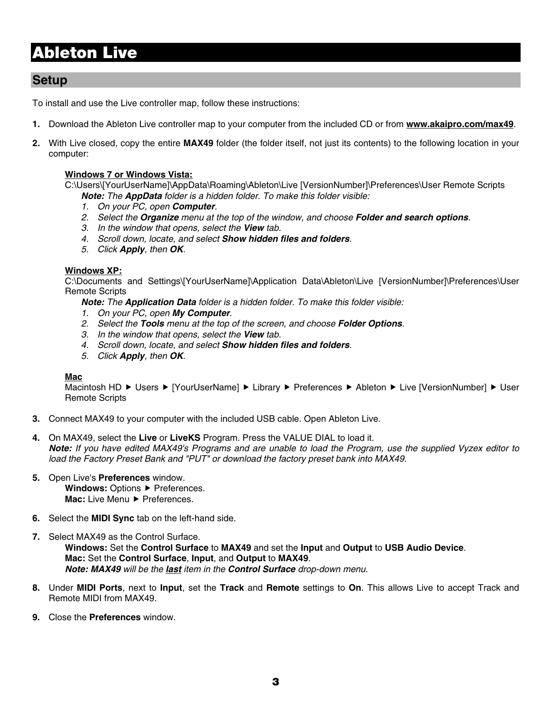# **Ableton Live**

### **Setup**

To install and use the Live controller map, follow these instructions:

- **1.** Download the Ableton Live controller map to your computer from the included CD or from **www.akaipro.com/max49**.
- **2.** With Live closed, copy the entire **MAX49** folder (the folder itself, not just its contents) to the following location in your computer:

#### **Windows 7 or Windows Vista:**

C:\Users\[YourUserName]\AppData\Roaming\Ableton\Live [VersionNumber]\Preferences\User Remote Scripts *Note: The AppData folder is a hidden folder. To make this folder visible:* 

- *1. On your PC, open Computer.*
- *2. Select the Organize menu at the top of the window, and choose Folder and search options.*
- *3. In the window that opens, select the View tab.*
- *4. Scroll down, locate, and select Show hidden files and folders.*
- *5. Click Apply, then OK.*

#### **Windows XP:**

C:\Documents and Settings\[YourUserName]\Application Data\Ableton\Live [VersionNumber]\Preferences\User Remote Scripts

*Note: The Application Data folder is a hidden folder. To make this folder visible:* 

- *1. On your PC, open My Computer.*
- *2. Select the Tools menu at the top of the screen, and choose Folder Options.*
- *3. In the window that opens, select the View tab.*
- *4. Scroll down, locate, and select Show hidden files and folders.*
- *5. Click Apply, then OK.*

#### **Mac**

Macintosh HD ► Users ► [YourUserName] ► Library ► Preferences ► Ableton ► Live [VersionNumber] ► User Remote Scripts

- **3.** Connect MAX49 to your computer with the included USB cable. Open Ableton Live.
- **4.** On MAX49, select the **Live** or **LiveKS** Program. Press the VALUE DIAL to load it. *Note: If you have edited MAX49's Programs and are unable to load the Program, use the supplied Vyzex editor to load the Factory Preset Bank and "PUT" or download the factory preset bank into MAX49.*
- **5.** Open Live's **Preferences** window. Windows: Options > Preferences. **Mac:** Live Menu ▶ Preferences.
- **6.** Select the **MIDI Sync** tab on the left-hand side.
- **7.** Select MAX49 as the Control Surface. **Windows:** Set the **Control Surface** to **MAX49** and set the **Input** and **Output** to **USB Audio Device**. **Mac:** Set the **Control Surface**, **Input**, and **Output** to **MAX49**. *Note: MAX49 will be the last item in the Control Surface drop-down menu.*
- **8.** Under **MIDI Ports**, next to **Input**, set the **Track** and **Remote** settings to **On**. This allows Live to accept Track and Remote MIDI from MAX49.
- **9.** Close the **Preferences** window.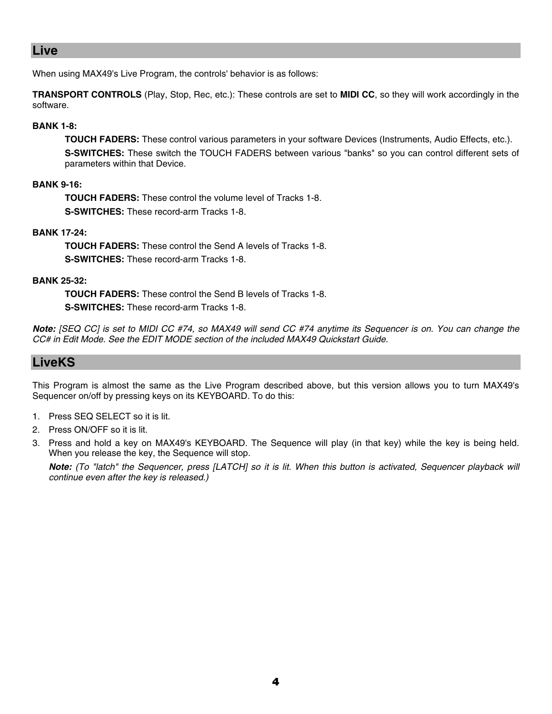### **Live**

When using MAX49's Live Program, the controls' behavior is as follows:

**TRANSPORT CONTROLS** (Play, Stop, Rec, etc.): These controls are set to **MIDI CC**, so they will work accordingly in the software.

#### **BANK 1-8:**

**TOUCH FADERS:** These control various parameters in your software Devices (Instruments, Audio Effects, etc.). **S-SWITCHES:** These switch the TOUCH FADERS between various "banks" so you can control different sets of parameters within that Device.

#### **BANK 9-16:**

**TOUCH FADERS:** These control the volume level of Tracks 1-8. **S-SWITCHES:** These record-arm Tracks 1-8.

#### **BANK 17-24:**

**TOUCH FADERS:** These control the Send A levels of Tracks 1-8. **S-SWITCHES:** These record-arm Tracks 1-8.

#### **BANK 25-32:**

**TOUCH FADERS:** These control the Send B levels of Tracks 1-8. **S-SWITCHES:** These record-arm Tracks 1-8.

*Note: [SEQ CC] is set to MIDI CC #74, so MAX49 will send CC #74 anytime its Sequencer is on. You can change the CC# in Edit Mode. See the EDIT MODE section of the included MAX49 Quickstart Guide.* 

### **LiveKS**

This Program is almost the same as the Live Program described above, but this version allows you to turn MAX49's Sequencer on/off by pressing keys on its KEYBOARD. To do this:

- 1. Press SEQ SELECT so it is lit.
- 2. Press ON/OFF so it is lit.
- 3. Press and hold a key on MAX49's KEYBOARD. The Sequence will play (in that key) while the key is being held. When you release the key, the Sequence will stop.

*Note: (To "latch" the Sequencer, press [LATCH] so it is lit. When this button is activated, Sequencer playback will continue even after the key is released.)*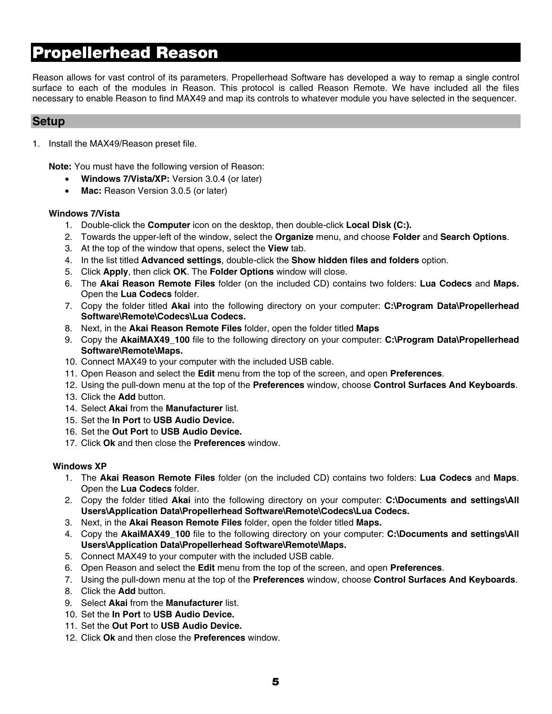# **Propellerhead Reason**

Reason allows for vast control of its parameters. Propellerhead Software has developed a way to remap a single control surface to each of the modules in Reason. This protocol is called Reason Remote. We have included all the files necessary to enable Reason to find MAX49 and map its controls to whatever module you have selected in the sequencer.

### **Setup**

1. Install the MAX49/Reason preset file.

**Note:** You must have the following version of Reason:

- **Windows 7/Vista/XP:** Version 3.0.4 (or later)
- **Mac:** Reason Version 3.0.5 (or later)

#### **Windows 7/Vista**

- 1. Double-click the **Computer** icon on the desktop, then double-click **Local Disk (C:).**
- 2. Towards the upper-left of the window, select the **Organize** menu, and choose **Folder** and **Search Options**.
- 3. At the top of the window that opens, select the **View** tab.
- 4. In the list titled **Advanced settings**, double-click the **Show hidden files and folders** option.
- 5. Click **Apply**, then click **OK**. The **Folder Options** window will close.
- 6. The **Akai Reason Remote Files** folder (on the included CD) contains two folders: **Lua Codecs** and **Maps.** Open the **Lua Codecs** folder.
- 7. Copy the folder titled **Akai** into the following directory on your computer: **C:\Program Data\Propellerhead Software\Remote\Codecs\Lua Codecs.**
- 8. Next, in the **Akai Reason Remote Files** folder, open the folder titled **Maps**
- 9. Copy the **AkaiMAX49\_100** file to the following directory on your computer: **C:\Program Data\Propellerhead Software\Remote\Maps.**
- 10. Connect MAX49 to your computer with the included USB cable.
- 11. Open Reason and select the **Edit** menu from the top of the screen, and open **Preferences**.
- 12. Using the pull-down menu at the top of the **Preferences** window, choose **Control Surfaces And Keyboards**.
- 13. Click the **Add** button.
- 14. Select **Akai** from the **Manufacturer** list.
- 15. Set the **In Port** to **USB Audio Device.**
- 16. Set the **Out Port** to **USB Audio Device.**
- 17. Click **Ok** and then close the **Preferences** window.

#### **Windows XP**

- 1. The **Akai Reason Remote Files** folder (on the included CD) contains two folders: **Lua Codecs** and **Maps**. Open the **Lua Codecs** folder.
- 2. Copy the folder titled **Akai** into the following directory on your computer: **C:\Documents and settings\All Users\Application Data\Propellerhead Software\Remote\Codecs\Lua Codecs.**
- 3. Next, in the **Akai Reason Remote Files** folder, open the folder titled **Maps.**
- 4. Copy the **AkaiMAX49\_100** file to the following directory on your computer: **C:\Documents and settings\All Users\Application Data\Propellerhead Software\Remote\Maps.**
- 5. Connect MAX49 to your computer with the included USB cable.
- 6. Open Reason and select the **Edit** menu from the top of the screen, and open **Preferences**.
- 7. Using the pull-down menu at the top of the **Preferences** window, choose **Control Surfaces And Keyboards**.
- 8. Click the **Add** button.
- 9. Select **Akai** from the **Manufacturer** list.
- 10. Set the **In Port** to **USB Audio Device.**
- 11. Set the **Out Port** to **USB Audio Device.**
- 12. Click **Ok** and then close the **Preferences** window.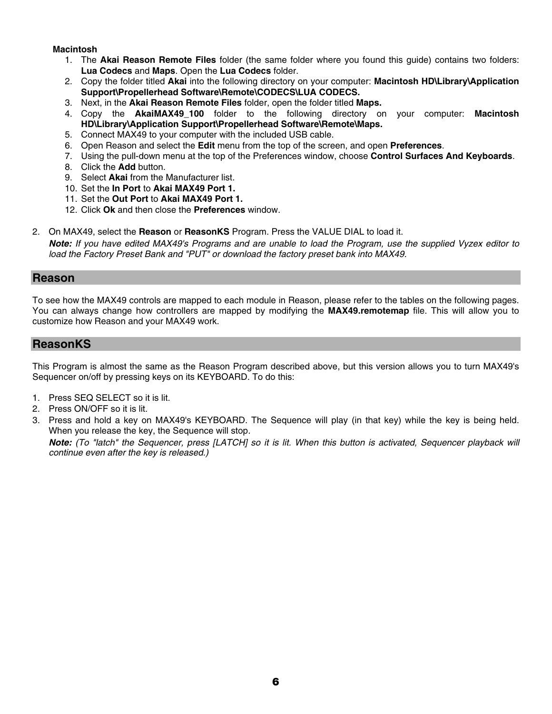#### **Macintosh**

- 1. The **Akai Reason Remote Files** folder (the same folder where you found this guide) contains two folders: **Lua Codecs** and **Maps**. Open the **Lua Codecs** folder.
- 2. Copy the folder titled **Akai** into the following directory on your computer: **Macintosh HD\Library\Application Support\Propellerhead Software\Remote\CODECS\LUA CODECS.**
- 3. Next, in the **Akai Reason Remote Files** folder, open the folder titled **Maps.**
- 4. Copy the **AkaiMAX49\_100** folder to the following directory on your computer: **Macintosh HD\Library\Application Support\Propellerhead Software\Remote\Maps.**
- 5. Connect MAX49 to your computer with the included USB cable.
- 6. Open Reason and select the **Edit** menu from the top of the screen, and open **Preferences**.
- 7. Using the pull-down menu at the top of the Preferences window, choose **Control Surfaces And Keyboards**.
- 8. Click the **Add** button.
- 9. Select **Akai** from the Manufacturer list.
- 10. Set the **In Port** to **Akai MAX49 Port 1.**
- 11. Set the **Out Port** to **Akai MAX49 Port 1.**
- 12. Click **Ok** and then close the **Preferences** window.
- 2. On MAX49, select the **Reason** or **ReasonKS** Program. Press the VALUE DIAL to load it. *Note: If you have edited MAX49's Programs and are unable to load the Program, use the supplied Vyzex editor to load the Factory Preset Bank and "PUT" or download the factory preset bank into MAX49.*

#### **Reason**

To see how the MAX49 controls are mapped to each module in Reason, please refer to the tables on the following pages. You can always change how controllers are mapped by modifying the **MAX49.remotemap** file. This will allow you to customize how Reason and your MAX49 work.

### **ReasonKS**

This Program is almost the same as the Reason Program described above, but this version allows you to turn MAX49's Sequencer on/off by pressing keys on its KEYBOARD. To do this:

- 1. Press SEQ SELECT so it is lit.
- 2. Press ON/OFF so it is lit.
- 3. Press and hold a key on MAX49's KEYBOARD. The Sequence will play (in that key) while the key is being held. When you release the key, the Sequence will stop.

*Note: (To "latch" the Sequencer, press [LATCH] so it is lit. When this button is activated, Sequencer playback will continue even after the key is released.)*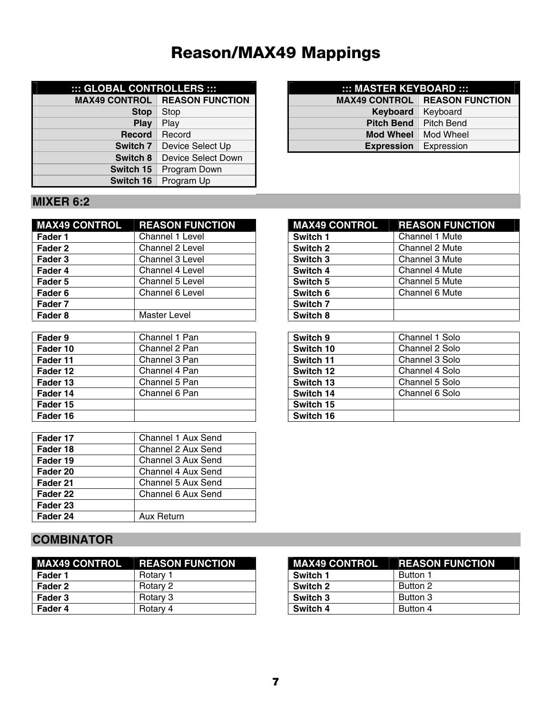# **Reason/MAX49 Mappings**

| ::: GLOBAL CONTROLLERS ::: |                        | ::: MASTER KEYBOARD ::: |                   |
|----------------------------|------------------------|-------------------------|-------------------|
| <b>MAX49 CONTROL</b>       | <b>REASON FUNCTION</b> | <b>MAX49 CONTROL</b>    | <b>REASON F</b>   |
| <b>Stop</b>                | Stop                   | Keyboard                | Keyboard          |
| Play                       | Play                   | <b>Pitch Bend</b>       | <b>Pitch Bend</b> |
| <b>Record</b>              | Record                 | <b>Mod Wheel</b>        | Mod Wheel         |
| Switch 7                   | Device Select Up       | <b>Expression</b>       | Expression        |
| Switch 8                   | Device Select Down     |                         |                   |
| Switch 15                  | Program Down           |                         |                   |
| Switch 16                  | Program Up             |                         |                   |

| :: GLOBAL CONTROLLERS :::    |                                      | ::: MASTER KEYBOARD :::        |                                        |
|------------------------------|--------------------------------------|--------------------------------|----------------------------------------|
|                              | <b>MAX49 CONTROL REASON FUNCTION</b> |                                | <b>MAX49 CONTROL   REASON FUNCTION</b> |
| <b>Stop</b>                  | Stop                                 | Keyboard                       | <b>Keyboard</b>                        |
| <b>Play</b>                  | Play                                 | <b>Pitch Bend</b>   Pitch Bend |                                        |
| Record                       | Record                               | <b>Mod Wheel</b>               | Mod Wheel                              |
| Device Select Up<br>Switch 7 |                                      | <b>Expression</b>              | Expression                             |
|                              |                                      |                                |                                        |

### **MIXER 6:2**

| <b>MAX49 CONTROL</b> | <b>REASON FUNCTION</b> |
|----------------------|------------------------|
| Fader 1              | <b>Channel 1 Level</b> |
| Fader 2              | <b>Channel 2 Level</b> |
| Fader 3              | Channel 3 Level        |
| Fader 4              | Channel 4 Level        |
| Fader 5              | <b>Channel 5 Level</b> |
| Fader <sub>6</sub>   | <b>Channel 6 Level</b> |
| Fader 7              |                        |
| Fader <sub>8</sub>   | <b>Master Level</b>    |

| Fader 9  | Channel 1 Pan | Switch 9  | Channel 1 Solo |
|----------|---------------|-----------|----------------|
| Fader 10 | Channel 2 Pan | Switch 10 | Channel 2 Solo |
| Fader 11 | Channel 3 Pan | Switch 11 | Channel 3 Solo |
| Fader 12 | Channel 4 Pan | Switch 12 | Channel 4 Solo |
| Fader 13 | Channel 5 Pan | Switch 13 | Channel 5 Solo |
| Fader 14 | Channel 6 Pan | Switch 14 | Channel 6 Solo |
| Fader 15 |               | Switch 15 |                |
| Fader 16 |               | Switch 16 |                |

| Fader 17 | Channel 1 Aux Send |
|----------|--------------------|
| Fader 18 | Channel 2 Aux Send |
| Fader 19 | Channel 3 Aux Send |
| Fader 20 | Channel 4 Aux Send |
| Fader 21 | Channel 5 Aux Send |
| Fader 22 | Channel 6 Aux Send |
| Fader 23 |                    |
| Fader 24 | Aux Return         |

#### **MAX49 CONTROL REASON FUNCTION Faderal 1 Accord 1 Switch 1 2 | Channel 1 Mute Fadera 2 Switch 2 2 Level 2 Channel 2 Mute**<br> **Fadera 2 Channel 3 Mute Fadera 3 Switch 3 2 Channel 3 Mute**<br> **Fadera 3 Channel 4 Mute Channel 4 Mute Switch 5 Channel 5 Mute Fadewich 6 20 Switch 6 20 Switch 6 20 Switch 6 20 Switch 6 20 Switch 6 20 Switch 6 20 Switch 6 20 Switch 6 20 Switch 7 Switch 7 Switch 7 Switch 7 Switch 7 Switch 7 Switch 7 Switch 7 Switch 7 Switch 7 Switch 7 Switch 7 Swi Switch 7 Switch 8**

| Switch 9  | <b>Channel 1 Solo</b> |
|-----------|-----------------------|
| Switch 10 | Channel 2 Solo        |
| Switch 11 | Channel 3 Solo        |
| Switch 12 | Channel 4 Solo        |
| Switch 13 | Channel 5 Solo        |
| Switch 14 | Channel 6 Solo        |
| Switch 15 |                       |
| Switch 16 |                       |

## **COMBINATOR**

|         | MAX49 CONTROL REASON FUNCTION | <b>MAX49 CONTROL</b> | <b>REASON FUNCTION</b> |
|---------|-------------------------------|----------------------|------------------------|
| Fader 1 | Rotary 1                      | Switch 1             | Button 1               |
| Fader 2 | Rotary 2                      | Switch 2             | Button 2               |
| Fader 3 | Rotary 3                      | Switch 3             | Button 3               |
| Fader 4 | Rotary 4                      | Switch 4             | Button 4               |

|          | <b>MAX49 CONTROL REASON FUNCTION</b> |
|----------|--------------------------------------|
| Switch 1 | Button 1                             |
| Switch 2 | Button 2                             |
| Switch 3 | Button 3                             |
| Switch 4 | Button 4                             |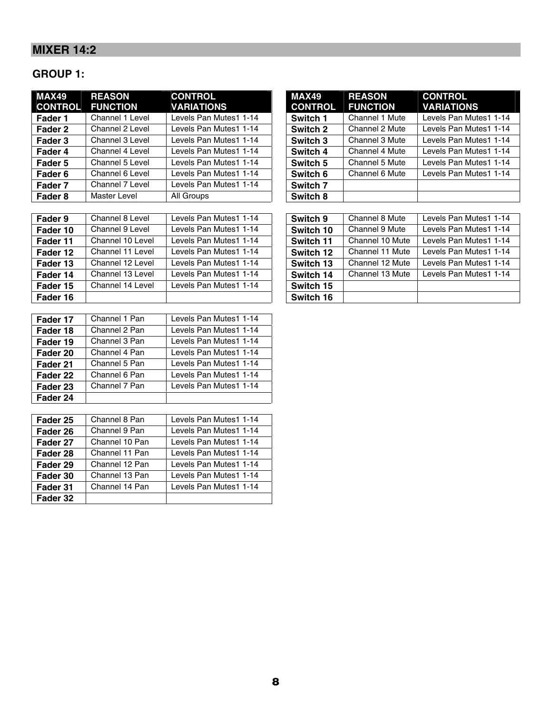### **MIXER 14:2**

### **GROUP 1:**

| MAX49<br><b>CONTROL</b> | <b>REASON</b><br><b>FUNCTION</b> | <b>CONTROL</b><br><b>VARIATIONS</b> | <b>MAX49</b><br><b>CONTROL</b> | <b>REASON</b><br><b>FUNCTION</b> | <b>CONTROL</b><br><b>VARIATIONS</b> |
|-------------------------|----------------------------------|-------------------------------------|--------------------------------|----------------------------------|-------------------------------------|
| Fader 1                 | Channel 1 Level                  | Levels Pan Mutes1 1-14              | Switch 1                       | Channel 1 Mute                   | Levels Pan Mutes1 1-14              |
| Fader 2                 | Channel 2 Level                  | Levels Pan Mutes1 1-14              | Switch 2                       | Channel 2 Mute                   | Levels Pan Mutes1 1-14              |
| Fader 3                 | Channel 3 Level                  | Levels Pan Mutes1 1-14              | Switch 3                       | Channel 3 Mute                   | Levels Pan Mutes1 1-14              |
| Fader 4                 | Channel 4 Level                  | Levels Pan Mutes1 1-14              | Switch 4                       | Channel 4 Mute                   | Levels Pan Mutes1 1-14              |
| Fader 5                 | Channel 5 Level                  | Levels Pan Mutes1 1-14              | Switch 5                       | Channel 5 Mute                   | Levels Pan Mutes1 1-14              |
| Fader 6                 | Channel 6 Level                  | Levels Pan Mutes1 1-14              | Switch 6                       | Channel 6 Mute                   | Levels Pan Mutes1 1-14              |
| Fader 7                 | Channel 7 Level                  | Levels Pan Mutes1 1-14              | Switch <sub>7</sub>            |                                  |                                     |
| Fader 8                 | <b>Master Level</b>              | All Groups                          | Switch 8                       |                                  |                                     |

| Fader 9  | Channel 8 Level  | Levels Pan Mutes1 1-14 | Switch 9  | Channel 8 Mute  | Levels Pan Mutes1 1-14 |
|----------|------------------|------------------------|-----------|-----------------|------------------------|
| Fader 10 | Channel 9 Level  | Levels Pan Mutes1 1-14 | Switch 10 | Channel 9 Mute  | Levels Pan Mutes1 1-14 |
| Fader 11 | Channel 10 Level | Levels Pan Mutes1 1-14 | Switch 11 | Channel 10 Mute | Levels Pan Mutes1 1-14 |
| Fader 12 | Channel 11 Level | Levels Pan Mutes1 1-14 | Switch 12 | Channel 11 Mute | Levels Pan Mutes1 1-14 |
| Fader 13 | Channel 12 Level | Levels Pan Mutes1 1-14 | Switch 13 | Channel 12 Mute | Levels Pan Mutes1 1-14 |
| Fader 14 | Channel 13 Level | Levels Pan Mutes1 1-14 | Switch 14 | Channel 13 Mute | Levels Pan Mutes1 1-14 |
| Fader 15 | Channel 14 Level | Levels Pan Mutes1 1-14 | Switch 15 |                 |                        |
| Fader 16 |                  |                        | Switch 16 |                 |                        |

| Fader 17 | Channel 1 Pan | Levels Pan Mutes1 1-14 |
|----------|---------------|------------------------|
| Fader 18 | Channel 2 Pan | Levels Pan Mutes1 1-14 |
| Fader 19 | Channel 3 Pan | Levels Pan Mutes1 1-14 |
| Fader 20 | Channel 4 Pan | Levels Pan Mutes1 1-14 |
| Fader 21 | Channel 5 Pan | Levels Pan Mutes1 1-14 |
| Fader 22 | Channel 6 Pan | Levels Pan Mutes1 1-14 |
| Fader 23 | Channel 7 Pan | Levels Pan Mutes1 1-14 |
| Fader 24 |               |                        |

| Fader 25 | Channel 8 Pan  | Levels Pan Mutes1 1-14 |
|----------|----------------|------------------------|
| Fader 26 | Channel 9 Pan  | Levels Pan Mutes1 1-14 |
| Fader 27 | Channel 10 Pan | Levels Pan Mutes1 1-14 |
| Fader 28 | Channel 11 Pan | Levels Pan Mutes1 1-14 |
| Fader 29 | Channel 12 Pan | Levels Pan Mutes1 1-14 |
| Fader 30 | Channel 13 Pan | Levels Pan Mutes1 1-14 |
| Fader 31 | Channel 14 Pan | Levels Pan Mutes1 1-14 |
| Fader 32 |                |                        |

| <b>MAX49</b>   | <b>REASON</b>         | <b>CONTROL</b>         |
|----------------|-----------------------|------------------------|
| <b>CONTROL</b> | <b>FUNCTION</b>       | <b>VARIATIONS</b>      |
| Switch 1       | <b>Channel 1 Mute</b> | Levels Pan Mutes1 1-14 |
| Switch 2       | <b>Channel 2 Mute</b> | Levels Pan Mutes1 1-14 |
| Switch 3       | Channel 3 Mute        | Levels Pan Mutes1 1-14 |
| Switch 4       | <b>Channel 4 Mute</b> | Levels Pan Mutes1 1-14 |
| Switch 5       | Channel 5 Mute        | Levels Pan Mutes1 1-14 |
| Switch 6       | Channel 6 Mute        | Levels Pan Mutes1 1-14 |
| Switch 7       |                       |                        |
| Switch 8       |                       |                        |

| Switch 9  | <b>Channel 8 Mute</b> | Levels Pan Mutes1 1-14 |
|-----------|-----------------------|------------------------|
| Switch 10 | <b>Channel 9 Mute</b> | Levels Pan Mutes1 1-14 |
| Switch 11 | Channel 10 Mute       | Levels Pan Mutes1 1-14 |
| Switch 12 | Channel 11 Mute       | Levels Pan Mutes1 1-14 |
| Switch 13 | Channel 12 Mute       | Levels Pan Mutes1 1-14 |
| Switch 14 | Channel 13 Mute       | Levels Pan Mutes1 1-14 |
| Switch 15 |                       |                        |
| Switch 16 |                       |                        |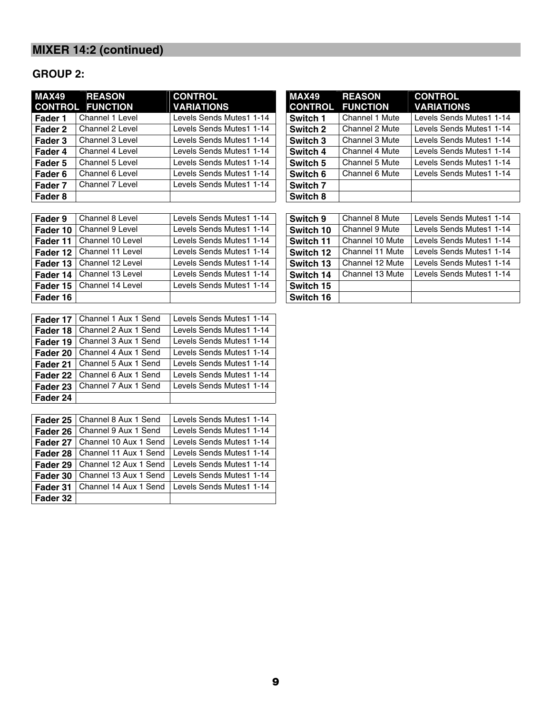### **GROUP 2:**

| <b>MAX49</b> | <b>REASON</b>           | <b>CONTROL</b>           | <b>MAX49</b>        | <b>REASON</b>   | <b>CONTROL</b>           |
|--------------|-------------------------|--------------------------|---------------------|-----------------|--------------------------|
|              | <b>CONTROL FUNCTION</b> | <b>VARIATIONS</b>        | <b>CONTROL</b>      | <b>FUNCTION</b> | <b>VARIATIONS</b>        |
| Fader 1      | Channel 1 Level         | Levels Sends Mutes1 1-14 | Switch 1            | Channel 1 Mute  | Levels Sends Mutes1 1-14 |
| Fader 2      | Channel 2 Level         | Levels Sends Mutes1 1-14 | Switch 2            | Channel 2 Mute  | Levels Sends Mutes1 1-14 |
| Fader 3      | Channel 3 Level         | Levels Sends Mutes1 1-14 | Switch 3            | Channel 3 Mute  | Levels Sends Mutes1 1-14 |
| Fader 4      | Channel 4 Level         | Levels Sends Mutes1 1-14 | Switch 4            | Channel 4 Mute  | Levels Sends Mutes1 1-14 |
| Fader 5      | Channel 5 Level         | Levels Sends Mutes1 1-14 | Switch 5            | Channel 5 Mute  | Levels Sends Mutes1 1-14 |
| Fader 6      | Channel 6 Level         | Levels Sends Mutes1 1-14 | Switch 6            | Channel 6 Mute  | Levels Sends Mutes1 1-14 |
| Fader 7      | Channel 7 Level         | Levels Sends Mutes1 1-14 | Switch <sub>7</sub> |                 |                          |
| Fader 8      |                         |                          | Switch 8            |                 |                          |

| <b>MAX49</b>   | <b>REASON</b>         | <b>CONTROL</b>           |
|----------------|-----------------------|--------------------------|
| <b>CONTROL</b> | <b>FUNCTION</b>       | <b>VARIATIONS</b>        |
| Switch 1       | <b>Channel 1 Mute</b> | Levels Sends Mutes1 1-14 |
| Switch 2       | Channel 2 Mute        | Levels Sends Mutes1 1-14 |
| Switch 3       | Channel 3 Mute        | Levels Sends Mutes1 1-14 |
| Switch 4       | Channel 4 Mute        | Levels Sends Mutes1 1-14 |
| Switch 5       | <b>Channel 5 Mute</b> | Levels Sends Mutes1 1-14 |
| Switch 6       | Channel 6 Mute        | Levels Sends Mutes1 1-14 |
| Switch 7       |                       |                          |
| Switch 8       |                       |                          |

| Fader 9  | Channel 8 Level  | Levels Sends Mutes1 1-14 | Switch 9  | Channel 8 Mute  | Levels Sends Mutes1 1-14 |
|----------|------------------|--------------------------|-----------|-----------------|--------------------------|
| Fader 10 | Channel 9 Level  | Levels Sends Mutes1 1-14 | Switch 10 | Channel 9 Mute  | Levels Sends Mutes1 1-14 |
| Fader 11 | Channel 10 Level | Levels Sends Mutes1 1-14 | Switch 11 | Channel 10 Mute | Levels Sends Mutes1 1-14 |
| Fader 12 | Channel 11 Level | Levels Sends Mutes1 1-14 | Switch 12 | Channel 11 Mute | Levels Sends Mutes1 1-14 |
| Fader 13 | Channel 12 Level | Levels Sends Mutes1 1-14 | Switch 13 | Channel 12 Mute | Levels Sends Mutes1 1-14 |
| Fader 14 | Channel 13 Level | Levels Sends Mutes1 1-14 | Switch 14 | Channel 13 Mute | Levels Sends Mutes1 1-14 |
| Fader 15 | Channel 14 Level | Levels Sends Mutes1 1-14 | Switch 15 |                 |                          |
| Fader 16 |                  |                          | Switch 16 |                 |                          |

| Fader 17 | Channel 1 Aux 1 Send | Levels Sends Mutes1 1-14 |
|----------|----------------------|--------------------------|
| Fader 18 | Channel 2 Aux 1 Send | Levels Sends Mutes1 1-14 |
| Fader 19 | Channel 3 Aux 1 Send | Levels Sends Mutes1 1-14 |
| Fader 20 | Channel 4 Aux 1 Send | Levels Sends Mutes1 1-14 |
| Fader 21 | Channel 5 Aux 1 Send | Levels Sends Mutes1 1-14 |
| Fader 22 | Channel 6 Aux 1 Send | Levels Sends Mutes1 1-14 |
| Fader 23 | Channel 7 Aux 1 Send | Levels Sends Mutes1 1-14 |
| Fader 24 |                      |                          |

| Fader 25 | Channel 8 Aux 1 Send  | Levels Sends Mutes1 1-14 |
|----------|-----------------------|--------------------------|
| Fader 26 | Channel 9 Aux 1 Send  | Levels Sends Mutes1 1-14 |
| Fader 27 | Channel 10 Aux 1 Send | Levels Sends Mutes1 1-14 |
| Fader 28 | Channel 11 Aux 1 Send | Levels Sends Mutes1 1-14 |
| Fader 29 | Channel 12 Aux 1 Send | Levels Sends Mutes1 1-14 |
| Fader 30 | Channel 13 Aux 1 Send | Levels Sends Mutes1 1-14 |
| Fader 31 | Channel 14 Aux 1 Send | Levels Sends Mutes1 1-14 |
| Fader 32 |                       |                          |

| Switch 9  | Channel 8 Mute  | Levels Sends Mutes1 1-14 |
|-----------|-----------------|--------------------------|
| Switch 10 | Channel 9 Mute  | Levels Sends Mutes1 1-14 |
| Switch 11 | Channel 10 Mute | Levels Sends Mutes1 1-14 |
| Switch 12 | Channel 11 Mute | Levels Sends Mutes1 1-14 |
| Switch 13 | Channel 12 Mute | Levels Sends Mutes1 1-14 |
| Switch 14 | Channel 13 Mute | Levels Sends Mutes1 1-14 |
| Switch 15 |                 |                          |
| Switch 16 |                 |                          |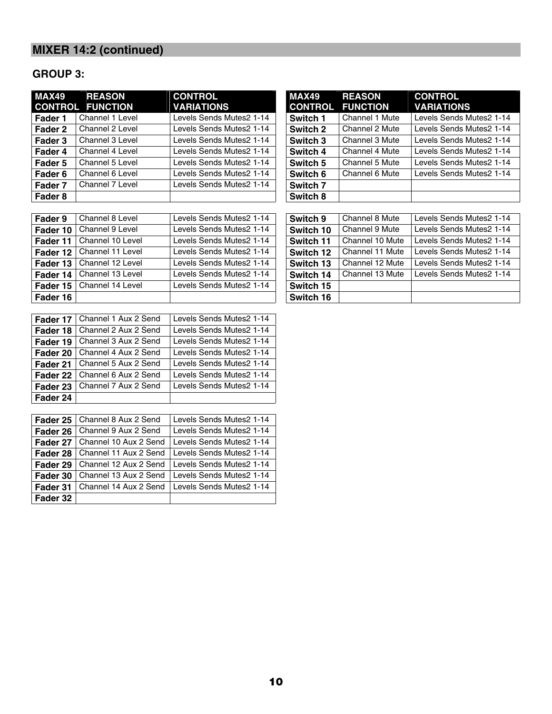### **GROUP 3:**

| <b>MAX49</b> | <b>REASON</b>           | <b>CONTROL</b>           | <b>MAX49</b>        | <b>REASON</b>   | <b>CONTROL</b>           |
|--------------|-------------------------|--------------------------|---------------------|-----------------|--------------------------|
|              | <b>CONTROL FUNCTION</b> | <b>VARIATIONS</b>        | <b>CONTROL</b>      | <b>FUNCTION</b> | <b>VARIATIONS</b>        |
| Fader 1      | Channel 1 Level         | Levels Sends Mutes2 1-14 | Switch 1            | Channel 1 Mute  | Levels Sends Mutes2 1-14 |
| Fader 2      | Channel 2 Level         | Levels Sends Mutes2 1-14 | Switch 2            | Channel 2 Mute  | Levels Sends Mutes 21-14 |
| Fader 3      | Channel 3 Level         | Levels Sends Mutes2 1-14 | Switch 3            | Channel 3 Mute  | Levels Sends Mutes2 1-14 |
| Fader 4      | Channel 4 Level         | Levels Sends Mutes2 1-14 | Switch 4            | Channel 4 Mute  | Levels Sends Mutes2 1-14 |
| Fader 5      | Channel 5 Level         | Levels Sends Mutes2 1-14 | Switch 5            | Channel 5 Mute  | Levels Sends Mutes2 1-14 |
| Fader 6      | Channel 6 Level         | Levels Sends Mutes2 1-14 | Switch 6            | Channel 6 Mute  | Levels Sends Mutes 21-14 |
| Fader 7      | Channel 7 Level         | Levels Sends Mutes2 1-14 | Switch <sub>7</sub> |                 |                          |
| Fader 8      |                         |                          | Switch 8            |                 |                          |

| <b>MAX49</b>   | <b>REASON</b>         | <b>CONTROL</b>           |
|----------------|-----------------------|--------------------------|
| <b>CONTROL</b> | <b>FUNCTION</b>       | <b>VARIATIONS</b>        |
| Switch 1       | <b>Channel 1 Mute</b> | Levels Sends Mutes2 1-14 |
| Switch 2       | Channel 2 Mute        | Levels Sends Mutes2 1-14 |
| Switch 3       | Channel 3 Mute        | Levels Sends Mutes2 1-14 |
| Switch 4       | Channel 4 Mute        | Levels Sends Mutes2 1-14 |
| Switch 5       | <b>Channel 5 Mute</b> | Levels Sends Mutes2 1-14 |
| Switch 6       | Channel 6 Mute        | Levels Sends Mutes2 1-14 |
| Switch 7       |                       |                          |
| Switch 8       |                       |                          |

| Fader 9  | Channel 8 Level  | Levels Sends Mutes2 1-14 | Switch 9  | Channel 8 Mute  | Levels Sends Mutes 21-14 |
|----------|------------------|--------------------------|-----------|-----------------|--------------------------|
| Fader 10 | Channel 9 Level  | Levels Sends Mutes 21-14 | Switch 10 | Channel 9 Mute  | Levels Sends Mutes 21-14 |
| Fader 11 | Channel 10 Level | Levels Sends Mutes 21-14 | Switch 11 | Channel 10 Mute | Levels Sends Mutes2 1-14 |
| Fader 12 | Channel 11 Level | Levels Sends Mutes 21-14 | Switch 12 | Channel 11 Mute | Levels Sends Mutes 21-14 |
| Fader 13 | Channel 12 Level | Levels Sends Mutes 21-14 | Switch 13 | Channel 12 Mute | Levels Sends Mutes 21-14 |
| Fader 14 | Channel 13 Level | Levels Sends Mutes2 1-14 | Switch 14 | Channel 13 Mute | Levels Sends Mutes2 1-14 |
| Fader 15 | Channel 14 Level | Levels Sends Mutes 21-14 | Switch 15 |                 |                          |
| Fader 16 |                  |                          | Switch 16 |                 |                          |

| l Fader 17 | Channel 1 Aux 2 Send | Levels Sends Mutes 21-14 |
|------------|----------------------|--------------------------|
| l Fader 18 | Channel 2 Aux 2 Send | Levels Sends Mutes 21-14 |
| l Fader 19 | Channel 3 Aux 2 Send | Levels Sends Mutes 21-14 |
| l Fader 20 | Channel 4 Aux 2 Send | Levels Sends Mutes 21-14 |
| l Fader 21 | Channel 5 Aux 2 Send | Levels Sends Mutes 21-14 |
| l Fader 22 | Channel 6 Aux 2 Send | Levels Sends Mutes 21-14 |
| l Fader 23 | Channel 7 Aux 2 Send | Levels Sends Mutes2 1-14 |
| Fader 24   |                      |                          |

| Fader 25 | Channel 8 Aux 2 Send  | Levels Sends Mutes2 1-14 |
|----------|-----------------------|--------------------------|
| Fader 26 | Channel 9 Aux 2 Send  | Levels Sends Mutes2 1-14 |
| Fader 27 | Channel 10 Aux 2 Send | Levels Sends Mutes 21-14 |
| Fader 28 | Channel 11 Aux 2 Send | Levels Sends Mutes 21-14 |
| Fader 29 | Channel 12 Aux 2 Send | Levels Sends Mutes 21-14 |
| Fader 30 | Channel 13 Aux 2 Send | Levels Sends Mutes 21-14 |
| Fader 31 | Channel 14 Aux 2 Send | Levels Sends Mutes 21-14 |
| Fader 32 |                       |                          |

| l Switch 9       | <b>Channel 8 Mute</b> | Levels Sends Mutes 21-14 |
|------------------|-----------------------|--------------------------|
| Switch 10        | Channel 9 Mute        | Levels Sends Mutes2 1-14 |
| l Switch 11      | Channel 10 Mute       | Levels Sends Mutes 21-14 |
| <b>Switch 12</b> | Channel 11 Mute       | Levels Sends Mutes2 1-14 |
| Switch 13        | Channel 12 Mute       | Levels Sends Mutes 21-14 |
| Switch 14        | Channel 13 Mute       | Levels Sends Mutes2 1-14 |
| <b>Switch 15</b> |                       |                          |
| Switch 16        |                       |                          |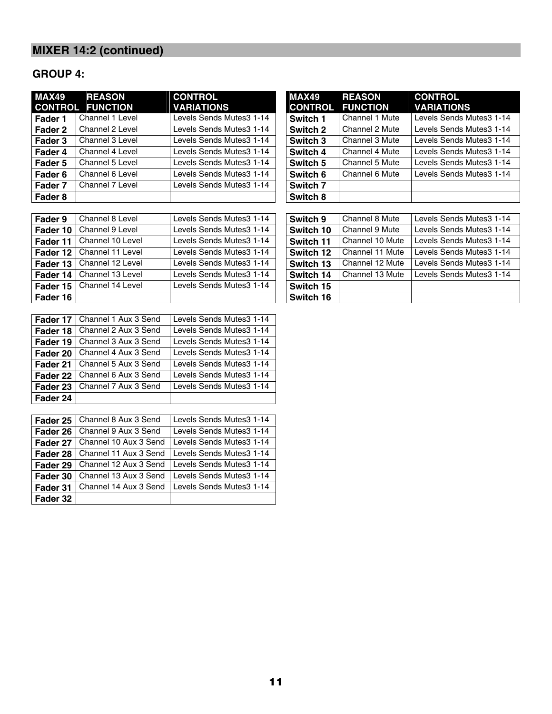### **GROUP 4:**

| <b>MAX49</b> | <b>REASON</b><br><b>CONTROL FUNCTION</b> | <b>CONTROL</b><br><b>VARIATIONS</b> | <b>MAX49</b><br><b>CONTROL</b> | <b>REASON</b><br><b>FUNCTION</b> | <b>CONTROL</b><br><b>VARIATIONS</b> |
|--------------|------------------------------------------|-------------------------------------|--------------------------------|----------------------------------|-------------------------------------|
| Fader 1      | Channel 1 Level                          | Levels Sends Mutes3 1-14            | Switch 1                       | Channel 1 Mute                   | Levels Sends Mutes 31-14            |
| Fader 2      | Channel 2 Level                          | Levels Sends Mutes3 1-14            | Switch 2                       | Channel 2 Mute                   | Levels Sends Mutes 31-14            |
| Fader 3      | Channel 3 Level                          | Levels Sends Mutes3 1-14            | Switch 3                       | Channel 3 Mute                   | Levels Sends Mutes 31-14            |
| Fader 4      | Channel 4 Level                          | Levels Sends Mutes3 1-14            | Switch 4                       | Channel 4 Mute                   | Levels Sends Mutes 31-14            |
| Fader 5      | Channel 5 Level                          | Levels Sends Mutes3 1-14            | Switch 5                       | Channel 5 Mute                   | Levels Sends Mutes 31-14            |
| Fader 6      | Channel 6 Level                          | Levels Sends Mutes3 1-14            | Switch 6                       | Channel 6 Mute                   | Levels Sends Mutes 31-14            |
| Fader 7      | Channel 7 Level                          | Levels Sends Mutes3 1-14            | Switch 7                       |                                  |                                     |
| Fader 8      |                                          |                                     | Switch 8                       |                                  |                                     |

| <b>MAX49</b>   | <b>REASON</b>         | <b>CONTROL</b>           |
|----------------|-----------------------|--------------------------|
| <b>CONTROL</b> | <b>FUNCTION</b>       | <b>VARIATIONS</b>        |
| Switch 1       | <b>Channel 1 Mute</b> | Levels Sends Mutes 31-14 |
| Switch 2       | Channel 2 Mute        | Levels Sends Mutes 31-14 |
| Switch 3       | Channel 3 Mute        | Levels Sends Mutes 31-14 |
| Switch 4       | Channel 4 Mute        | Levels Sends Mutes 31-14 |
| Switch 5       | Channel 5 Mute        | Levels Sends Mutes 31-14 |
| Switch 6       | Channel 6 Mute        | Levels Sends Mutes 31-14 |
| Switch 7       |                       |                          |
| Switch 8       |                       |                          |

| Channel 8 Level  | Levels Sends Mutes 31-14 | Switch 9  | Channel 8 Mute  | Levels Sends Mutes 31-14 |
|------------------|--------------------------|-----------|-----------------|--------------------------|
| Channel 9 Level  | Levels Sends Mutes 31-14 | Switch 10 | Channel 9 Mute  | Levels Sends Mutes 31-14 |
| Channel 10 Level | Levels Sends Mutes 31-14 | Switch 11 | Channel 10 Mute | Levels Sends Mutes 31-14 |
| Channel 11 Level | Levels Sends Mutes 31-14 | Switch 12 | Channel 11 Mute | Levels Sends Mutes 31-14 |
| Channel 12 Level | Levels Sends Mutes 31-14 | Switch 13 | Channel 12 Mute | Levels Sends Mutes 31-14 |
| Channel 13 Level | Levels Sends Mutes 31-14 | Switch 14 | Channel 13 Mute | Levels Sends Mutes 31-14 |
| Channel 14 Level | Levels Sends Mutes 31-14 | Switch 15 |                 |                          |
|                  |                          | Switch 16 |                 |                          |
|                  |                          |           |                 |                          |

| Fader 17 | Channel 1 Aux 3 Send | Levels Sends Mutes 31-14 |
|----------|----------------------|--------------------------|
| Fader 18 | Channel 2 Aux 3 Send | Levels Sends Mutes 31-14 |
| Fader 19 | Channel 3 Aux 3 Send | Levels Sends Mutes 31-14 |
| Fader 20 | Channel 4 Aux 3 Send | Levels Sends Mutes 31-14 |
| Fader 21 | Channel 5 Aux 3 Send | Levels Sends Mutes 31-14 |
| Fader 22 | Channel 6 Aux 3 Send | Levels Sends Mutes 31-14 |
| Fader 23 | Channel 7 Aux 3 Send | Levels Sends Mutes 31-14 |
| Fader 24 |                      |                          |

| Fader 25   | Channel 8 Aux 3 Send  | Levels Sends Mutes 31-14 |
|------------|-----------------------|--------------------------|
| Fader 26   | Channel 9 Aux 3 Send  | Levels Sends Mutes 31-14 |
| l Fader 27 | Channel 10 Aux 3 Send | Levels Sends Mutes 31-14 |
| l Fader 28 | Channel 11 Aux 3 Send | Levels Sends Mutes3 1-14 |
| Fader 29   | Channel 12 Aux 3 Send | Levels Sends Mutes 31-14 |
| l Fader 30 | Channel 13 Aux 3 Send | Levels Sends Mutes 31-14 |
| l Fader 31 | Channel 14 Aux 3 Send | Levels Sends Mutes 31-14 |
| Fader 32   |                       |                          |

| Switch 9  | <b>Channel 8 Mute</b> | Levels Sends Mutes 31-14 |
|-----------|-----------------------|--------------------------|
| Switch 10 | Channel 9 Mute        | Levels Sends Mutes 31-14 |
| Switch 11 | Channel 10 Mute       | Levels Sends Mutes3 1-14 |
| Switch 12 | Channel 11 Mute       | Levels Sends Mutes3 1-14 |
| Switch 13 | Channel 12 Mute       | Levels Sends Mutes3 1-14 |
| Switch 14 | Channel 13 Mute       | Levels Sends Mutes 31-14 |
| Switch 15 |                       |                          |
| Switch 16 |                       |                          |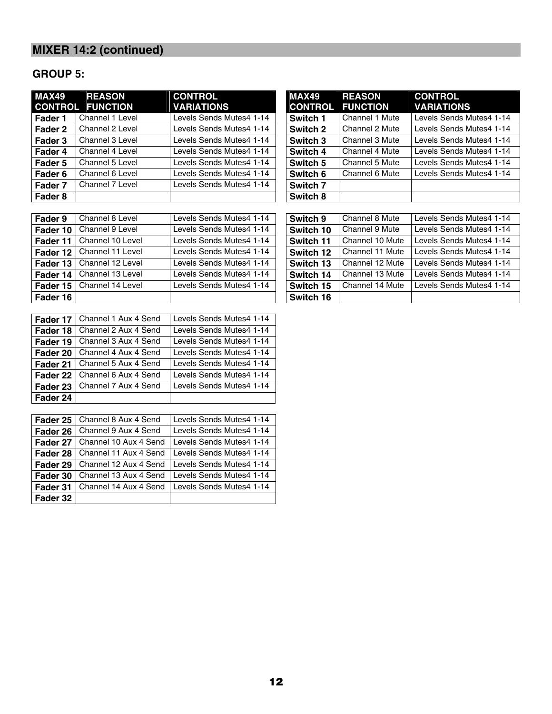### **GROUP 5:**

| <b>MAX49</b> | <b>REASON</b>           | <b>CONTROL</b>           | <b>MAX49</b>        | <b>REASON</b>   | <b>CONTROL</b>           |
|--------------|-------------------------|--------------------------|---------------------|-----------------|--------------------------|
|              | <b>CONTROL FUNCTION</b> | <b>VARIATIONS</b>        | <b>CONTROL</b>      | <b>FUNCTION</b> | <b>VARIATIONS</b>        |
| Fader 1      | Channel 1 Level         | Levels Sends Mutes4 1-14 | Switch 1            | Channel 1 Mute  | Levels Sends Mutes4 1-14 |
| Fader 2      | Channel 2 Level         | Levels Sends Mutes4 1-14 | Switch 2            | Channel 2 Mute  | Levels Sends Mutes4 1-14 |
| Fader 3      | Channel 3 Level         | Levels Sends Mutes4 1-14 | Switch 3            | Channel 3 Mute  | Levels Sends Mutes4 1-14 |
| Fader 4      | Channel 4 Level         | Levels Sends Mutes4 1-14 | Switch 4            | Channel 4 Mute  | Levels Sends Mutes4 1-14 |
| Fader 5      | Channel 5 Level         | Levels Sends Mutes4 1-14 | Switch 5            | Channel 5 Mute  | Levels Sends Mutes4 1-14 |
| Fader 6      | Channel 6 Level         | Levels Sends Mutes4 1-14 | Switch 6            | Channel 6 Mute  | Levels Sends Mutes4 1-14 |
| Fader 7      | Channel 7 Level         | Levels Sends Mutes4 1-14 | Switch <sub>7</sub> |                 |                          |
| Fader 8      |                         |                          | Switch 8            |                 |                          |

| Fader 9  | Channel 8 Level  | Levels Sends Mutes4 1-14 | Switch 9  | Channel 8 Mute  | Levels Sends Mutes4 1-14 |
|----------|------------------|--------------------------|-----------|-----------------|--------------------------|
| Fader 10 | Channel 9 Level  | Levels Sends Mutes4 1-14 | Switch 10 | Channel 9 Mute  | Levels Sends Mutes4 1-14 |
| Fader 11 | Channel 10 Level | Levels Sends Mutes4 1-14 | Switch 11 | Channel 10 Mute | Levels Sends Mutes4 1-14 |
| Fader 12 | Channel 11 Level | Levels Sends Mutes4 1-14 | Switch 12 | Channel 11 Mute | Levels Sends Mutes4 1-14 |
| Fader 13 | Channel 12 Level | Levels Sends Mutes4 1-14 | Switch 13 | Channel 12 Mute | Levels Sends Mutes4 1-14 |
| Fader 14 | Channel 13 Level | Levels Sends Mutes4 1-14 | Switch 14 | Channel 13 Mute | Levels Sends Mutes4 1-14 |
| Fader 15 | Channel 14 Level | Levels Sends Mutes4 1-14 | Switch 15 | Channel 14 Mute | Levels Sends Mutes4 1-14 |
| Fader 16 |                  |                          | Switch 16 |                 |                          |

| Fader 17 | Channel 1 Aux 4 Send | Levels Sends Mutes4 1-14 |
|----------|----------------------|--------------------------|
| Fader 18 | Channel 2 Aux 4 Send | Levels Sends Mutes4 1-14 |
| Fader 19 | Channel 3 Aux 4 Send | Levels Sends Mutes4 1-14 |
| Fader 20 | Channel 4 Aux 4 Send | Levels Sends Mutes4 1-14 |
| Fader 21 | Channel 5 Aux 4 Send | Levels Sends Mutes4 1-14 |
| Fader 22 | Channel 6 Aux 4 Send | Levels Sends Mutes4 1-14 |
| Fader 23 | Channel 7 Aux 4 Send | Levels Sends Mutes4 1-14 |
| Fader 24 |                      |                          |

| Fader 25 | Channel 8 Aux 4 Send  | Levels Sends Mutes4 1-14 |
|----------|-----------------------|--------------------------|
| Fader 26 | Channel 9 Aux 4 Send  | Levels Sends Mutes4 1-14 |
| Fader 27 | Channel 10 Aux 4 Send | Levels Sends Mutes4 1-14 |
| Fader 28 | Channel 11 Aux 4 Send | Levels Sends Mutes4 1-14 |
| Fader 29 | Channel 12 Aux 4 Send | Levels Sends Mutes4 1-14 |
| Fader 30 | Channel 13 Aux 4 Send | Levels Sends Mutes4 1-14 |
| Fader 31 | Channel 14 Aux 4 Send | Levels Sends Mutes4 1-14 |
| Fader 32 |                       |                          |

| MAX49          | <b>REASON</b>         | <b>CONTROL</b>           |
|----------------|-----------------------|--------------------------|
| <b>CONTROL</b> | <b>FUNCTION</b>       | <b>VARIATIONS</b>        |
| Switch 1       | <b>Channel 1 Mute</b> | Levels Sends Mutes4 1-14 |
| Switch 2       | Channel 2 Mute        | Levels Sends Mutes4 1-14 |
| Switch 3       | Channel 3 Mute        | Levels Sends Mutes4 1-14 |
| Switch 4       | Channel 4 Mute        | Levels Sends Mutes4 1-14 |
| Switch 5       | Channel 5 Mute        | Levels Sends Mutes4 1-14 |
| Switch 6       | Channel 6 Mute        | Levels Sends Mutes4 1-14 |
| Switch 7       |                       |                          |
| Switch 8       |                       |                          |

| Switch 9         | Channel 8 Mute  | Levels Sends Mutes4 1-14 |
|------------------|-----------------|--------------------------|
| Switch 10        | Channel 9 Mute  | Levels Sends Mutes4 1-14 |
| l Switch 11      | Channel 10 Mute | Levels Sends Mutes4 1-14 |
| <b>Switch 12</b> | Channel 11 Mute | Levels Sends Mutes4 1-14 |
| Switch 13        | Channel 12 Mute | Levels Sends Mutes4 1-14 |
| Switch 14        | Channel 13 Mute | Levels Sends Mutes4 1-14 |
| Switch 15        | Channel 14 Mute | Levels Sends Mutes4 1-14 |
| Switch 16        |                 |                          |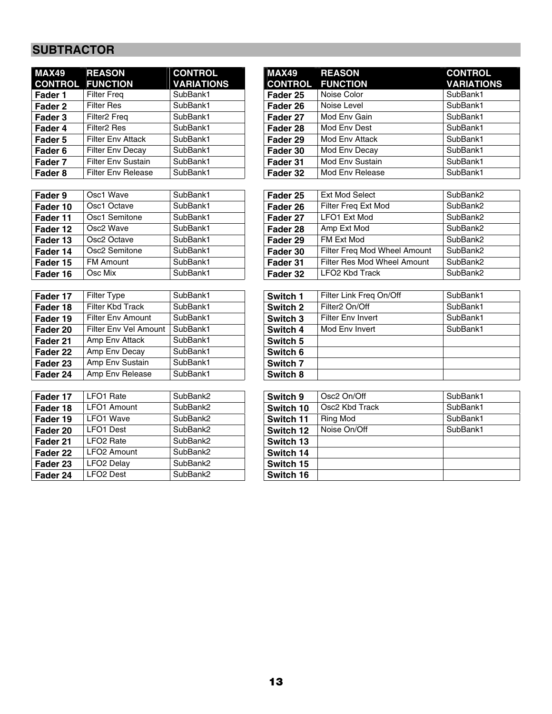# **SUBTRACTOR**

| <b>MAX49 REASON</b><br><b>CONTROL FUNCTION</b> |                           | <b>CONTROL</b><br><b>VARIATIONS</b> |
|------------------------------------------------|---------------------------|-------------------------------------|
| Fader 1                                        | <b>Filter Freg</b>        | SubBank1                            |
| Fader 2                                        | <b>Filter Res</b>         | SubBank1                            |
| Fader 3                                        | Filter <sub>2</sub> Freq  | SubBank1                            |
| l Fader 4                                      | Filter <sub>2</sub> Res   | SubBank1                            |
| Fader 5                                        | <b>Filter Env Attack</b>  | SubBank1                            |
| Fader 6                                        | <b>Filter Env Decay</b>   | SubBank1                            |
| Fader 7                                        | <b>Filter Env Sustain</b> | SubBank1                            |
| Fader 8                                        | <b>Filter Env Release</b> | SubBank1                            |

| Fader 9  | Osc1 Wave               | SubBank1 |
|----------|-------------------------|----------|
| Fader 10 | Osc1 Octave             | SubBank1 |
| Fader 11 | Osc1 Semitone           | SubBank1 |
| Fader 12 | Osc <sub>2</sub> Wave   | SubBank1 |
| Fader 13 | Osc <sub>2</sub> Octave | SubBank1 |
| Fader 14 | Osc2 Semitone           | SubBank1 |
| Fader 15 | <b>FM Amount</b>        | SubBank1 |
| Fader 16 | Osc Mix                 | SubBank1 |

| Filter Type              | SubBank1 | Switch 1 |
|--------------------------|----------|----------|
| <b>Filter Kbd Track</b>  | SubBank1 | Switch 2 |
| <b>Filter Env Amount</b> | SubBank1 | Switch 3 |
| Filter Env Vel Amount    | SubBank1 | Switch 4 |
| Amp Env Attack           | SubBank1 | Switch 5 |
| Amp Env Decay            | SubBank1 | Switch 6 |
| Amp Env Sustain          | SubBank1 | Switch 7 |
| Amp Env Release          | SubBank1 | Switch 8 |
|                          |          |          |

| Fader 17 | LFO1 Rate               | SubBank2 | Switch 9  |
|----------|-------------------------|----------|-----------|
| Fader 18 | <b>LFO1 Amount</b>      | SubBank2 | Switch 10 |
| Fader 19 | <b>LFO1 Wave</b>        | SubBank2 | Switch 11 |
| Fader 20 | <b>LFO1 Dest</b>        | SubBank2 | Switch 12 |
| Fader 21 | LFO <sub>2</sub> Rate   | SubBank2 | Switch 13 |
| Fader 22 | LFO <sub>2</sub> Amount | SubBank2 | Switch 14 |
| Fader 23 | LFO <sub>2</sub> Delay  | SubBank2 | Switch 15 |
| Fader 24 | LFO <sub>2</sub> Dest   | SubBank2 | Switch 16 |

| MAX49              | <b>REASON</b>             | <b>CONTROL</b>    | MAX49          | <b>REASON</b>   | <b>CONTROL</b>    |
|--------------------|---------------------------|-------------------|----------------|-----------------|-------------------|
|                    | <b>CONTROL FUNCTION</b>   | <b>VARIATIONS</b> | <b>CONTROL</b> | <b>FUNCTION</b> | <b>VARIATIONS</b> |
| Fader 1            | <b>Filter Freg</b>        | SubBank1          | Fader 25       | Noise Color     | SubBank1          |
| Fader 2            | <b>Filter Res</b>         | SubBank1          | Fader 26       | Noise Level     |                   |
| Fader 3            | Filter <sub>2</sub> Freq  | SubBank1          | Fader 27       | Mod Env Gain    | SubBank1          |
| Fader 4            | Filter <sub>2</sub> Res   | SubBank1          | Fader 28       | Mod Env Dest    |                   |
| Fader 5            | <b>Filter Env Attack</b>  | SubBank1          | Fader 29       | Mod Env Attack  |                   |
| Fader 6            | <b>Filter Env Decay</b>   | SubBank1          | Fader 30       | Mod Env Decay   |                   |
| Fader 7            | <b>Filter Env Sustain</b> | SubBank1          | Fader 31       | Mod Env Sustain | SubBank1          |
| Fader <sub>8</sub> | <b>Filter Env Release</b> | SubBank1          | Fader 32       | Mod Env Release | SubBank1          |
|                    |                           |                   |                |                 |                   |

| Fader 9  | Osc1 Wave        | SubBank1 | Fader 25 | <b>Ext Mod Select</b>        | SubBank2 |
|----------|------------------|----------|----------|------------------------------|----------|
| Fader 10 | Osc1 Octave      | SubBank1 | Fader 26 | Filter Freq Ext Mod          | SubBank2 |
| Fader 11 | Osc1 Semitone    | SubBank1 | Fader 27 | LFO1 Ext Mod                 | SubBank2 |
| Fader 12 | Osc2 Wave        | SubBank1 | Fader 28 | Amp Ext Mod                  | SubBank2 |
| Fader 13 | Osc2 Octave      | SubBank1 | Fader 29 | FM Ext Mod                   | SubBank2 |
| Fader 14 | Osc2 Semitone    | SubBank1 | Fader 30 | Filter Freg Mod Wheel Amount | SubBank2 |
| Fader 15 | <b>FM Amount</b> | SubBank1 | Fader 31 | Filter Res Mod Wheel Amount  | SubBank2 |
| Fader 16 | Osc Mix          | SubBank1 | Fader 32 | LFO <sub>2</sub> Kbd Track   | SubBank2 |

| Fader 17 | <b>Filter Type</b>    | SubBank1 | Switch 1            | Filter Link Freg On/Off  | SubBank1 |
|----------|-----------------------|----------|---------------------|--------------------------|----------|
| Fader 18 | Filter Kbd Track      | SubBank1 | Switch 2            | Filter2 On/Off           | SubBank1 |
| Fader 19 | Filter Env Amount     | SubBank1 | Switch 3            | <b>Filter Env Invert</b> | SubBank1 |
| Fader 20 | Filter Env Vel Amount | SubBank1 | Switch 4            | Mod Env Invert           | SubBank1 |
| Fader 21 | Amp Env Attack        | SubBank1 | Switch 5            |                          |          |
| Fader 22 | Amp Env Decay         | SubBank1 | Switch 6            |                          |          |
| Fader 23 | Amp Env Sustain       | SubBank1 | Switch <sub>7</sub> |                          |          |
| Fader 24 | Amp Env Release       | SubBank1 | Switch 8            |                          |          |

| Fader 17 | LFO1 Rate               | SubBank2 | Switch 9  | Osc <sub>2</sub> On/Off | SubBank1 |
|----------|-------------------------|----------|-----------|-------------------------|----------|
| Fader 18 | LFO1 Amount             | SubBank2 | Switch 10 | Osc2 Kbd Track          | SubBank1 |
| Fader 19 | <b>LFO1 Wave</b>        | SubBank2 | Switch 11 | <b>Ring Mod</b>         | SubBank1 |
| Fader 20 | <b>LFO1 Dest</b>        | SubBank2 | Switch 12 | Noise On/Off            | SubBank1 |
| Fader 21 | LFO <sub>2</sub> Rate   | SubBank2 | Switch 13 |                         |          |
| Fader 22 | LFO <sub>2</sub> Amount | SubBank2 | Switch 14 |                         |          |
| Fader 23 | LFO <sub>2</sub> Delay  | SubBank2 | Switch 15 |                         |          |
| Fader 24 | LFO <sub>2</sub> Dest   | SubBank2 | Switch 16 |                         |          |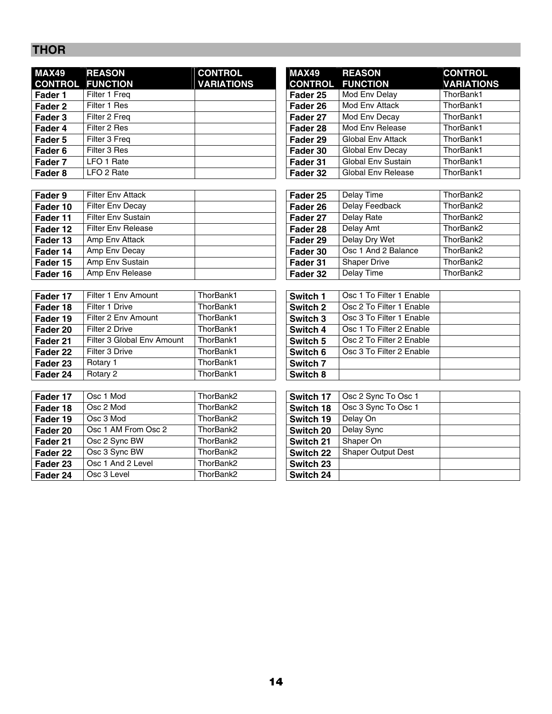# **THOR**

| <b>MAX49</b><br><b>CONTROL</b> | <b>REASON</b><br><b>FUNCTION</b> | <b>CONTROL</b><br><b>VARIATIONS</b> | <b>MAX49</b><br><b>CONTROL</b> | <b>REASON</b><br><b>FUNCTION</b> | <b>CONTROL</b><br><b>VARIATIO</b> |
|--------------------------------|----------------------------------|-------------------------------------|--------------------------------|----------------------------------|-----------------------------------|
| Fader 1                        | Filter 1 Freq                    |                                     | Fader 25                       | Mod Env Delay                    | ThorBank1                         |
| Fader 2                        | Filter 1 Res                     |                                     | Fader 26                       | Mod Env Attack                   | ThorBank1                         |
| Fader 3                        | Filter 2 Freg                    |                                     | Fader 27                       | Mod Env Decay                    | ThorBank1                         |
| Fader 4                        | Filter 2 Res                     |                                     | Fader 28                       | Mod Env Release                  | ThorBank1                         |
| Fader 5                        | Filter 3 Freg                    |                                     | Fader 29                       | <b>Global Env Attack</b>         | ThorBank1                         |
| Fader 6                        | Filter 3 Res                     |                                     | Fader 30                       | Global Env Decay                 | ThorBank1                         |
| Fader 7                        | LFO 1 Rate                       |                                     | Fader 31                       | <b>Global Env Sustain</b>        | ThorBank1                         |
| Fader <sub>8</sub>             | LFO 2 Rate                       |                                     | Fader 32                       | <b>Global Env Release</b>        | ThorBank1                         |

| Fader 9  | <b>Filter Env Attack</b>  | Fader 25 | Delay Time          | ThorBank2 |
|----------|---------------------------|----------|---------------------|-----------|
| Fader 10 | <b>Filter Env Decay</b>   | Fader 26 | Delay Feedback      | ThorBank2 |
| Fader 11 | <b>Filter Env Sustain</b> | Fader 27 | Delay Rate          | ThorBank2 |
| Fader 12 | <b>Filter Env Release</b> | Fader 28 | Delay Amt           | ThorBank2 |
| Fader 13 | Amp Env Attack            | Fader 29 | Delay Dry Wet       | ThorBank2 |
| Fader 14 | Amp Env Decay             | Fader 30 | Osc 1 And 2 Balance | ThorBank2 |
| Fader 15 | Amp Env Sustain           | Fader 31 | <b>Shaper Drive</b> | ThorBank2 |
| Fader 16 | Amp Env Release           | Fader 32 | Delay Time          | ThorBank2 |

| Fader 17 | Filter 1 Env Amount        | ThorBank1 | Switch 1 | Osc 1 To Filter 1 Enable |
|----------|----------------------------|-----------|----------|--------------------------|
| Fader 18 | Filter 1 Drive             | ThorBank1 | Switch 2 | Osc 2 To Filter 1 Enable |
| Fader 19 | Filter 2 Env Amount        | ThorBank1 | Switch 3 | Osc 3 To Filter 1 Enable |
| Fader 20 | Filter 2 Drive             | ThorBank1 | Switch 4 | Osc 1 To Filter 2 Enable |
| Fader 21 | Filter 3 Global Env Amount | ThorBank1 | Switch 5 | Osc 2 To Filter 2 Enable |
| Fader 22 | Filter 3 Drive             | ThorBank1 | Switch 6 | Osc 3 To Filter 2 Enable |
| Fader 23 | Rotary 1                   | ThorBank1 | Switch 7 |                          |
| Fader 24 | Rotary 2                   | ThorBank1 | Switch 8 |                          |
|          |                            |           |          |                          |

| Osc 1 Mod           | ThorBank2 | Osc 2 Sync To Osc 1                                                                                  |
|---------------------|-----------|------------------------------------------------------------------------------------------------------|
| Osc 2 Mod           | ThorBank2 | Osc 3 Sync To Osc 1                                                                                  |
| Osc 3 Mod           | ThorBank2 | Delay On                                                                                             |
| Osc 1 AM From Osc 2 | ThorBank2 | Delay Sync                                                                                           |
| Osc 2 Sync BW       | ThorBank2 | Shaper On                                                                                            |
| Osc 3 Sync BW       | ThorBank2 | <b>Shaper Output Dest</b>                                                                            |
| Osc 1 And 2 Level   | ThorBank2 |                                                                                                      |
| Osc 3 Level         | ThorBank2 |                                                                                                      |
|                     |           | Switch 17<br>Switch 18<br>Switch 19<br>Switch 20<br>Switch 21<br>Switch 22<br>Switch 23<br>Switch 24 |

| MAX49   | <b>REASON</b><br><b>CONTROL FUNCTION</b> | <b>CONTROL</b><br><b>VARIATIONS</b> | <b>MAX49</b><br><b>CONTROL</b> | <b>REASON</b><br><b>FUNCTION</b> | <b>CONTROL</b><br><b>VARIATIONS</b> |
|---------|------------------------------------------|-------------------------------------|--------------------------------|----------------------------------|-------------------------------------|
| Fader 1 | Filter 1 Freg                            |                                     | Fader 25                       | Mod Env Delay                    | ThorBank1                           |
| Fader 2 | Filter 1 Res                             |                                     | Fader 26                       | Mod Env Attack                   | ThorBank1                           |
| Fader 3 | Filter 2 Freg                            |                                     | Fader 27                       | Mod Env Decay                    | ThorBank1                           |
| Fader 4 | Filter 2 Res                             |                                     | Fader 28                       | Mod Env Release                  | ThorBank1                           |
| Fader 5 | Filter 3 Freg                            |                                     | Fader 29                       | <b>Global Env Attack</b>         | ThorBank1                           |
| Fader 6 | Filter 3 Res                             |                                     | Fader 30                       | Global Env Decay                 | ThorBank1                           |
| Fader 7 | LFO 1 Rate                               |                                     | Fader 31                       | <b>Global Env Sustain</b>        | ThorBank1                           |
| Fader 8 | LFO 2 Rate                               |                                     | Fader 32                       | Global Env Release               | ThorBank1                           |

| Fader 25 | Delay Time          | ThorBank2 |
|----------|---------------------|-----------|
| Fader 26 | Delay Feedback      | ThorBank2 |
| Fader 27 | Delay Rate          | ThorBank2 |
| Fader 28 | Delay Amt           | ThorBank2 |
| Fader 29 | Delay Dry Wet       | ThorBank2 |
| Fader 30 | Osc 1 And 2 Balance | ThorBank2 |
| Fader 31 | <b>Shaper Drive</b> | ThorBank2 |
| Fader 32 | Delay Time          | ThorBank2 |

| Switch 1 | Osc 1 To Filter 1 Enable |  |
|----------|--------------------------|--|
| Switch 2 | Osc 2 To Filter 1 Enable |  |
| Switch 3 | Osc 3 To Filter 1 Enable |  |
| Switch 4 | Osc 1 To Filter 2 Enable |  |
| Switch 5 | Osc 2 To Filter 2 Enable |  |
| Switch 6 | Osc 3 To Filter 2 Enable |  |
| Switch 7 |                          |  |
| Switch 8 |                          |  |

| Switch 17        | Osc 2 Sync To Osc 1       |  |
|------------------|---------------------------|--|
| Switch 18        | Osc 3 Sync To Osc 1       |  |
| Switch 19        | Delay On                  |  |
| Switch 20        | Delay Sync                |  |
| <b>Switch 21</b> | Shaper On                 |  |
| <b>Switch 22</b> | <b>Shaper Output Dest</b> |  |
| <b>Switch 23</b> |                           |  |
| Switch 24        |                           |  |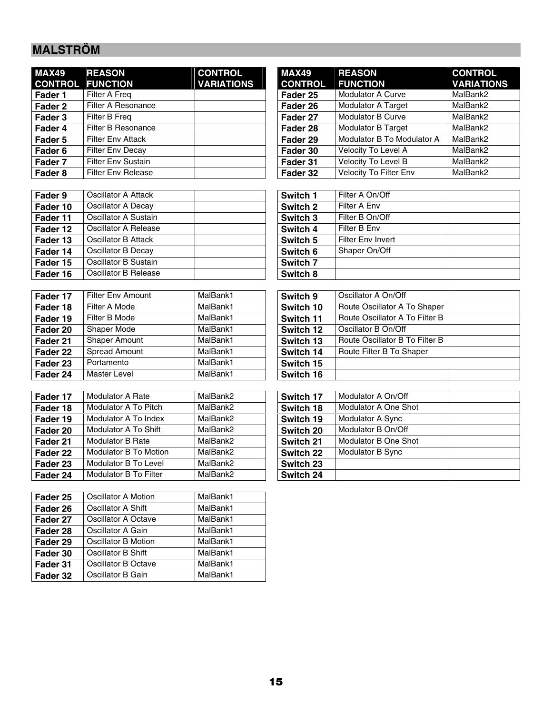# **MALSTRÖM**

| <b>MAX49</b><br><b>CONTROL</b> | <b>REASON</b><br><b>FUNCTION</b> | <b>CONTROL</b><br><b>VARIATIONS</b> | <b>MAX49</b><br><b>CONTROL</b> | <b>REASON</b><br><b>FUNCTION</b> | <b>CONTRO</b><br><b>VARIATI</b> |
|--------------------------------|----------------------------------|-------------------------------------|--------------------------------|----------------------------------|---------------------------------|
| Fader 1                        | Filter A Freg                    |                                     | Fader 25                       | <b>Modulator A Curve</b>         | MalBank2                        |
| Fader 2                        | Filter A Resonance               |                                     | Fader 26                       | <b>Modulator A Target</b>        | MalBank2                        |
| Fader 3                        | Filter B Freg                    |                                     | Fader 27                       | <b>Modulator B Curve</b>         | MalBank2                        |
| Fader 4                        | Filter B Resonance               |                                     | Fader 28                       | <b>Modulator B Target</b>        | MalBank2                        |
| Fader 5                        | <b>Filter Env Attack</b>         |                                     | Fader 29                       | Modulator B To Modulator A       | MalBank2                        |
| Fader 6                        | <b>Filter Env Decay</b>          |                                     | Fader 30                       | Velocity To Level A              | MalBank2                        |
| Fader 7                        | <b>Filter Env Sustain</b>        |                                     | Fader 31                       | Velocity To Level B              | MalBank2                        |
| <b>Eader 8</b>                 | <b>Filter Fny Release</b>        |                                     | Fader 32                       | <b>Velocity To Filter Fny</b>    | MalBank2                        |

| Oscillator A Attack  | Switch 1 | Filter A On/Off          |
|----------------------|----------|--------------------------|
| Oscillator A Decay   | Switch 2 | Filter A Env             |
| Oscillator A Sustain | Switch 3 | Filter B On/Off          |
| Oscillator A Release | Switch 4 | Filter B Env             |
| Oscillator B Attack  | Switch 5 | <b>Filter Env Invert</b> |
| Oscillator B Decay   | Switch 6 | Shaper On/Off            |
| Oscillator B Sustain | Switch 7 |                          |
| Oscillator B Release | Switch 8 |                          |
|                      |          |                          |

| Fader 17 | <b>Filter Env Amount</b> | MalBank1 | Switch 9  | Oscillator A On/Off            |
|----------|--------------------------|----------|-----------|--------------------------------|
| Fader 18 | Filter A Mode            | MalBank1 | Switch 10 | Route Oscillator A To Shaper   |
| Fader 19 | Filter B Mode            | MalBank1 | Switch 11 | Route Oscillator A To Filter B |
| Fader 20 | Shaper Mode              | MalBank1 | Switch 12 | Oscillator B On/Off            |
| Fader 21 | <b>Shaper Amount</b>     | MalBank1 | Switch 13 | Route Oscillator B To Filter B |
| Fader 22 | Spread Amount            | MalBank1 | Switch 14 | Route Filter B To Shaper       |
| Fader 23 | Portamento               | MalBank1 | Switch 15 |                                |
| Fader 24 | Master Level             | MalBank1 | Switch 16 |                                |
|          |                          |          |           |                                |

| Fader 17 | Modulator A Rate        | MalBank2 | Switch 17 | Modulator A On/Off   |
|----------|-------------------------|----------|-----------|----------------------|
| Fader 18 | Modulator A To Pitch    | MalBank2 | Switch 18 | Modulator A One Shot |
| Fader 19 | Modulator A To Index    | MalBank2 | Switch 19 | Modulator A Sync     |
| Fader 20 | Modulator A To Shift    | MalBank2 | Switch 20 | Modulator B On/Off   |
| Fader 21 | <b>Modulator B Rate</b> | MalBank2 | Switch 21 | Modulator B One Shot |
| Fader 22 | Modulator B To Motion   | MalBank2 | Switch 22 | Modulator B Sync     |
| Fader 23 | Modulator B To Level    | MalBank2 | Switch 23 |                      |
| Fader 24 | Modulator B To Filter   | MalBank2 | Switch 24 |                      |
|          |                         |          |           |                      |

| Fader 25                       | Oscillator A Motion | MalBank1 |
|--------------------------------|---------------------|----------|
| Oscillator A Shift<br>Fader 26 |                     | MalBank1 |
| Fader 27                       | Oscillator A Octave | MalBank1 |
| Fader 28                       | Oscillator A Gain   | MalBank1 |
| Fader 29                       | Oscillator B Motion | MalBank1 |
| Fader 30                       | Oscillator B Shift  | MalBank1 |
| Fader 31                       | Oscillator B Octave | MalBank1 |
| Fader 32                       | Oscillator B Gain   | MalBank1 |

| MAX49   | <b>REASON</b><br><b>CONTROL FUNCTION</b> | <b>CONTROL</b><br><b>VARIATIONS</b> | <b>MAX49</b><br><b>CONTROL</b> | <b>REASON</b><br><b>FUNCTION</b> | <b>CONTROL</b><br><b>VARIATIONS</b> |
|---------|------------------------------------------|-------------------------------------|--------------------------------|----------------------------------|-------------------------------------|
| Fader 1 | Filter A Freq                            |                                     | Fader 25                       | <b>Modulator A Curve</b>         | MalBank2                            |
| Fader 2 | Filter A Resonance                       |                                     | Fader 26                       | <b>Modulator A Target</b>        | MalBank2                            |
| Fader 3 | Filter B Freg                            |                                     | Fader 27                       | <b>Modulator B Curve</b>         | MalBank2                            |
| Fader 4 | Filter B Resonance                       |                                     | Fader 28                       | <b>Modulator B Target</b>        | MalBank2                            |
| Fader 5 | <b>Filter Env Attack</b>                 |                                     | Fader 29                       | Modulator B To Modulator A       | MalBank2                            |
| Fader 6 | <b>Filter Env Decay</b>                  |                                     | Fader 30                       | Velocity To Level A              | MalBank2                            |
| Fader 7 | <b>Filter Env Sustain</b>                |                                     | Fader 31                       | Velocity To Level B              | MalBank2                            |
| Fader 8 | <b>Filter Env Release</b>                |                                     | Fader 32                       | Velocity To Filter Env           | MalBank2                            |

| Switch 1 | Filter A On/Off          |
|----------|--------------------------|
| Switch 2 | Filter A Env             |
| Switch 3 | Filter B On/Off          |
| Switch 4 | Filter B Env             |
| Switch 5 | <b>Filter Env Invert</b> |
| Switch 6 | Shaper On/Off            |
| Switch 7 |                          |
| Switch 8 |                          |

| Switch 9  | Oscillator A On/Off            |  |
|-----------|--------------------------------|--|
| Switch 10 | Route Oscillator A To Shaper   |  |
| Switch 11 | Route Oscillator A To Filter B |  |
| Switch 12 | Oscillator B On/Off            |  |
| Switch 13 | Route Oscillator B To Filter B |  |
| Switch 14 | Route Filter B To Shaper       |  |
| Switch 15 |                                |  |
| Switch 16 |                                |  |
|           |                                |  |

| Switch 17 | Modulator A On/Off          |  |
|-----------|-----------------------------|--|
| Switch 18 | <b>Modulator A One Shot</b> |  |
| Switch 19 | <b>Modulator A Sync</b>     |  |
| Switch 20 | Modulator B On/Off          |  |
| Switch 21 | <b>Modulator B One Shot</b> |  |
| Switch 22 | Modulator B Sync            |  |
| Switch 23 |                             |  |
| Switch 24 |                             |  |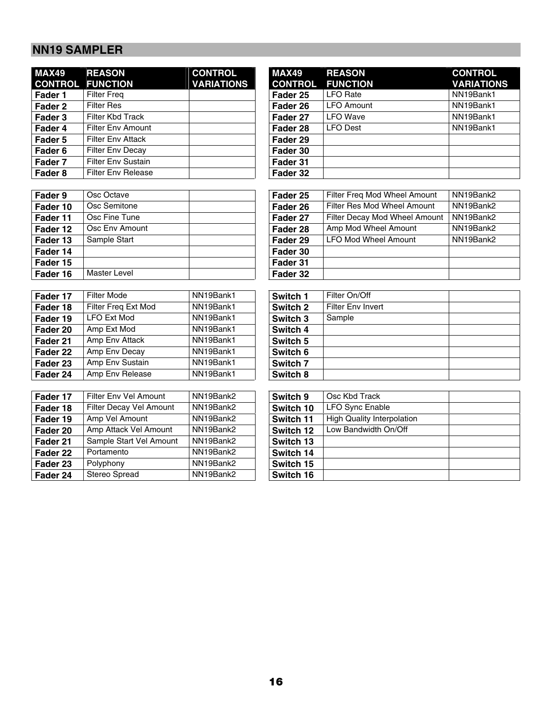# **NN19 SAMPLER**

| <b>MAX49</b><br><b>CONTROL</b> | <b>REASON</b><br><b>FUNCTION</b> | <b>CONTROL</b><br><b>VARIATIONS</b> | <b>MAX49</b><br><b>CONTRO</b> |
|--------------------------------|----------------------------------|-------------------------------------|-------------------------------|
| Fader 1                        | <b>Filter Freg</b>               |                                     | Fader 25                      |
| Fader 2                        | <b>Filter Res</b>                |                                     | Fader 26                      |
| Fader 3                        | Filter Kbd Track                 |                                     | Fader 27                      |
| Fader 4                        | <b>Filter Env Amount</b>         |                                     | Fader 28                      |
| Fader 5                        | <b>Filter Env Attack</b>         |                                     | Fader 29                      |
| Fader <sub>6</sub>             | <b>Filter Env Decay</b>          |                                     | Fader 30                      |
| Fader 7                        | <b>Filter Env Sustain</b>        |                                     | Fader 31                      |
| Fader <sub>8</sub>             | <b>Filter Env Release</b>        |                                     | Fader 32                      |

| Fader 9  | Osc Octave          | Fader 25 |
|----------|---------------------|----------|
| Fader 10 | Osc Semitone        | Fader 26 |
| Fader 11 | Osc Fine Tune       | Fader 27 |
| Fader 12 | Osc Env Amount      | Fader 28 |
| Fader 13 | Sample Start        | Fader 29 |
| Fader 14 |                     | Fader 30 |
| Fader 15 |                     | Fader 31 |
| Fader 16 | <b>Master Level</b> | Fader 32 |

| Fader 17 | Filter Mode         | NN19Bank1 | Switch 1 | Filter On/Off     |
|----------|---------------------|-----------|----------|-------------------|
| Fader 18 | Filter Freq Ext Mod | NN19Bank1 | Switch 2 | Filter Env Invert |
| Fader 19 | <b>LFO Ext Mod</b>  | NN19Bank1 | Switch 3 | Sample            |
| Fader 20 | Amp Ext Mod         | NN19Bank1 | Switch 4 |                   |
| Fader 21 | Amp Env Attack      | NN19Bank1 | Switch 5 |                   |
| Fader 22 | Amp Env Decay       | NN19Bank1 | Switch 6 |                   |
| Fader 23 | Amp Env Sustain     | NN19Bank1 | Switch 7 |                   |
| Fader 24 | Amp Env Release     | NN19Bank1 | Switch 8 |                   |

| MAX49   | <b>REASON</b>             | <b>CONTROL</b>    | <b>MAX49</b>   | <b>REASON</b>     | <b>CONTROL</b>    |
|---------|---------------------------|-------------------|----------------|-------------------|-------------------|
|         | <b>CONTROL FUNCTION</b>   | <b>VARIATIONS</b> | <b>CONTROL</b> | <b>FUNCTION</b>   | <b>VARIATIONS</b> |
| Fader 1 | <b>Filter Freg</b>        |                   | Fader 25       | <b>LFO</b> Rate   | NN19Bank1         |
| Fader 2 | <b>Filter Res</b>         |                   | Fader 26       | <b>LFO Amount</b> | NN19Bank1         |
| Fader 3 | <b>Filter Kbd Track</b>   |                   | Fader 27       | <b>LFO</b> Wave   | NN19Bank1         |
| Fader 4 | <b>Filter Env Amount</b>  |                   | Fader 28       | <b>LFO Dest</b>   | NN19Bank1         |
| Fader 5 | <b>Filter Env Attack</b>  |                   | Fader 29       |                   |                   |
| Fader 6 | <b>Filter Env Decay</b>   |                   | Fader 30       |                   |                   |
| Fader 7 | <b>Filter Env Sustain</b> |                   | Fader 31       |                   |                   |
| Fader 8 | <b>Filter Env Release</b> |                   | Fader 32       |                   |                   |

| Osc Octave    |                | Fader 25 | Filter Freg Mod Wheel Amount  | NN19Bank2 |
|---------------|----------------|----------|-------------------------------|-----------|
| Osc Semitone  |                | Fader 26 | Filter Res Mod Wheel Amount   | NN19Bank2 |
| Osc Fine Tune |                | Fader 27 | Filter Decay Mod Wheel Amount | NN19Bank2 |
|               |                | Fader 28 | Amp Mod Wheel Amount          | NN19Bank2 |
| Sample Start  |                | Fader 29 | <b>LFO Mod Wheel Amount</b>   | NN19Bank2 |
|               |                | Fader 30 |                               |           |
|               |                | Fader 31 |                               |           |
| Master Level  |                | Fader 32 |                               |           |
|               | Osc Env Amount |          |                               |           |

| Filter On/Off            |  |
|--------------------------|--|
| <b>Filter Env Invert</b> |  |
| Sample                   |  |
|                          |  |
|                          |  |
|                          |  |
|                          |  |
|                          |  |
|                          |  |

| Fader 17 | Filter Env Vel Amount   | NN19Bank2 | Switch 9  | Osc Kbd Track                     |
|----------|-------------------------|-----------|-----------|-----------------------------------|
| Fader 18 | Filter Decay Vel Amount | NN19Bank2 | Switch 10 | <b>LFO Sync Enable</b>            |
| Fader 19 | Amp Vel Amount          | NN19Bank2 | Switch 11 | <b>High Quality Interpolation</b> |
| Fader 20 | Amp Attack Vel Amount   | NN19Bank2 | Switch 12 | Low Bandwidth On/Off              |
| Fader 21 | Sample Start Vel Amount | NN19Bank2 | Switch 13 |                                   |
| Fader 22 | Portamento              | NN19Bank2 | Switch 14 |                                   |
| Fader 23 | Polyphony               | NN19Bank2 | Switch 15 |                                   |
| Fader 24 | Stereo Spread           | NN19Bank2 | Switch 16 |                                   |

| Switch 9  | Osc Kbd Track                     |  |
|-----------|-----------------------------------|--|
| Switch 10 | <b>LFO Sync Enable</b>            |  |
| Switch 11 | <b>High Quality Interpolation</b> |  |
| Switch 12 | Low Bandwidth On/Off              |  |
| Switch 13 |                                   |  |
| Switch 14 |                                   |  |
| Switch 15 |                                   |  |
| Switch 16 |                                   |  |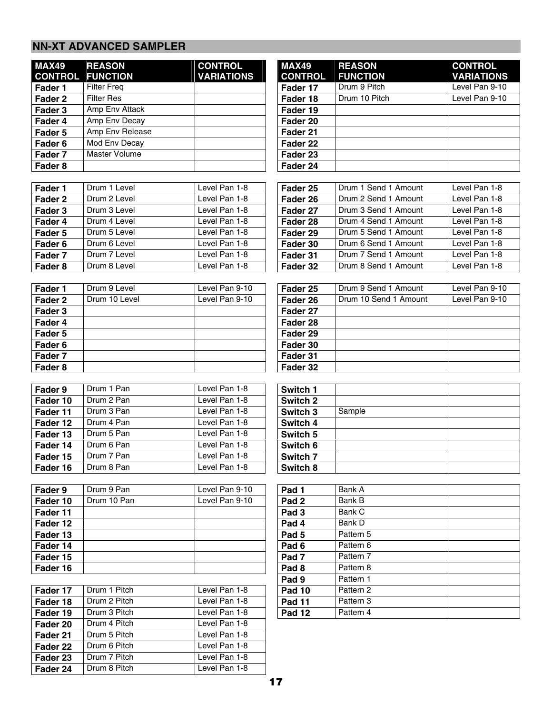### **NN-XT ADVANCED SAMPLER**

| <b>MAX49</b>       | <b>REASON</b>            | <b>CONTROL</b>                 | <b>MAX49</b>     | <b>REASON</b>         | <b>CONTROL</b>    |
|--------------------|--------------------------|--------------------------------|------------------|-----------------------|-------------------|
| <b>CONTROL</b>     | <b>FUNCTION</b>          | <b>VARIATIONS</b>              | <b>CONTROL</b>   | <b>FUNCTION</b>       | <b>VARIATIONS</b> |
| Fader 1            | <b>Filter Freq</b>       |                                | Fader 17         | Drum 9 Pitch          | Level Pan 9-10    |
| Fader <sub>2</sub> | <b>Filter Res</b>        |                                | Fader 18         | Drum 10 Pitch         | Level Pan 9-10    |
| Fader 3            | Amp Env Attack           |                                | Fader 19         |                       |                   |
| Fader 4            | Amp Env Decay            |                                | Fader 20         |                       |                   |
| Fader 5            | Amp Env Release          |                                | Fader 21         |                       |                   |
| Fader 6            | Mod Env Decay            |                                | Fader 22         |                       |                   |
| Fader 7            | <b>Master Volume</b>     |                                | Fader 23         |                       |                   |
| Fader 8            |                          |                                | Fader 24         |                       |                   |
|                    |                          |                                |                  |                       |                   |
| Fader 1            | Drum 1 Level             | Level Pan 1-8                  | Fader 25         | Drum 1 Send 1 Amount  | Level Pan 1-8     |
| Fader <sub>2</sub> | Drum 2 Level             | Level Pan 1-8                  | Fader 26         | Drum 2 Send 1 Amount  | Level Pan 1-8     |
| Fader 3            | Drum 3 Level             | Level Pan 1-8                  | Fader 27         | Drum 3 Send 1 Amount  | Level Pan 1-8     |
| Fader 4            | Drum 4 Level             | Level Pan 1-8                  | Fader 28         | Drum 4 Send 1 Amount  | Level Pan 1-8     |
| Fader 5            | Drum 5 Level             | Level Pan 1-8                  | Fader 29         | Drum 5 Send 1 Amount  | Level Pan 1-8     |
| Fader <sub>6</sub> | Drum 6 Level             | Level Pan 1-8                  | Fader 30         | Drum 6 Send 1 Amount  | Level Pan 1-8     |
| Fader 7            | Drum 7 Level             | Level Pan 1-8                  | Fader 31         | Drum 7 Send 1 Amount  | Level Pan 1-8     |
| Fader 8            | Drum 8 Level             | Level Pan 1-8                  | Fader 32         | Drum 8 Send 1 Amount  | Level Pan 1-8     |
|                    |                          |                                |                  |                       |                   |
| Fader 1            | Drum 9 Level             | Level Pan 9-10                 | Fader 25         | Drum 9 Send 1 Amount  | Level Pan 9-10    |
| Fader <sub>2</sub> | Drum 10 Level            | Level Pan 9-10                 | Fader 26         | Drum 10 Send 1 Amount | Level Pan 9-10    |
| Fader 3            |                          |                                | Fader 27         |                       |                   |
| Fader 4            |                          |                                | Fader 28         |                       |                   |
| Fader 5            |                          |                                | Fader 29         |                       |                   |
| Fader 6            |                          |                                | Fader 30         |                       |                   |
| Fader 7            |                          |                                | Fader 31         |                       |                   |
| Fader 8            |                          |                                | Fader 32         |                       |                   |
|                    |                          |                                |                  |                       |                   |
| Fader 9            | Drum 1 Pan               | Level Pan 1-8                  | Switch 1         |                       |                   |
| Fader 10           | Drum 2 Pan               | Level Pan 1-8                  | Switch 2         |                       |                   |
| Fader 11           | Drum 3 Pan               | Level Pan 1-8                  | Switch 3         | Sample                |                   |
| Fader 12           | Drum 4 Pan               | Level Pan 1-8                  | Switch 4         |                       |                   |
| Fader 13           | Drum 5 Pan<br>Drum 6 Pan | Level Pan 1-8<br>Level Pan 1-8 | Switch 5         |                       |                   |
| Fader 14           | Drum 7 Pan               | Level Pan 1-8                  | Switch 6         |                       |                   |
| Fader 15           |                          | Level Pan 1-8                  | Switch 7         |                       |                   |
| Fader 16           | Drum 8 Pan               |                                | Switch 8         |                       |                   |
| Fader 9            | Drum 9 Pan               | Level Pan 9-10                 | Pad 1            | Bank A                |                   |
| Fader 10           | Drum 10 Pan              | Level Pan 9-10                 | Pad <sub>2</sub> | Bank B                |                   |
| Fader 11           |                          |                                | Pad <sub>3</sub> | Bank C                |                   |
| Fader 12           |                          |                                | Pad 4            | Bank D                |                   |
| Fader 13           |                          |                                | Pad <sub>5</sub> | Pattern 5             |                   |
| Fader 14           |                          |                                | Pad <sub>6</sub> | Pattern 6             |                   |
| Fader 15           |                          |                                | Pad <sub>7</sub> | Pattern 7             |                   |
| Fader 16           |                          |                                | Pad <sub>8</sub> | Pattern 8             |                   |
|                    |                          |                                | Pad 9            | Pattern 1             |                   |
| Fader 17           | Drum 1 Pitch             | Level Pan 1-8                  | <b>Pad 10</b>    | Pattern 2             |                   |
| Fader 18           | Drum 2 Pitch             | Level Pan 1-8                  | <b>Pad 11</b>    | Pattern 3             |                   |
| Fader 19           | Drum 3 Pitch             | Level Pan 1-8                  | <b>Pad 12</b>    | Pattern 4             |                   |
| Fader 20           | Drum 4 Pitch             | Level Pan 1-8                  |                  |                       |                   |
| Fader 21           | Drum 5 Pitch             | Level Pan 1-8                  |                  |                       |                   |
| Fader 22           | Drum 6 Pitch             | Level Pan 1-8                  |                  |                       |                   |
| Fader 23           | Drum 7 Pitch             | Level Pan 1-8                  |                  |                       |                   |
| Fader 24           | Drum 8 Pitch             | Level Pan 1-8                  |                  |                       |                   |
|                    |                          |                                | . .              |                       |                   |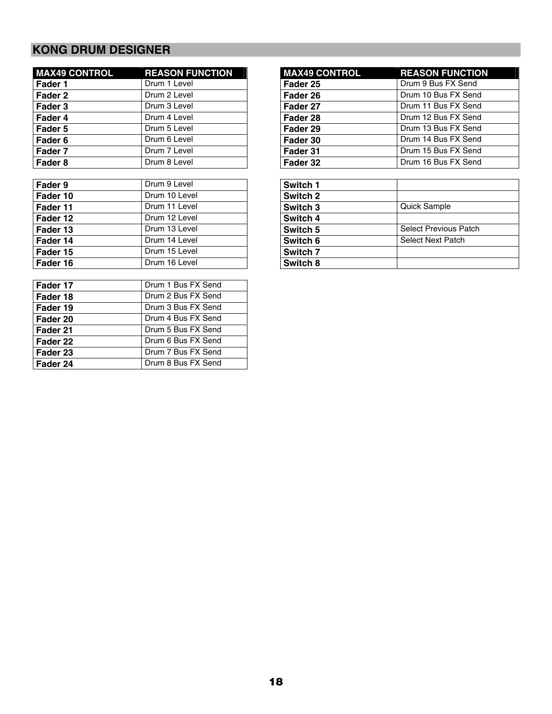# **KONG DRUM DESIGNER**

| <b>MAX49 CONTROL</b> | <b>REASON FUNCTION</b> | <b>MAX49 CONTROL</b> | <b>REASON FUNCTION</b> |
|----------------------|------------------------|----------------------|------------------------|
| Fader 1              | Drum 1 Level           | Fader 25             | Drum 9 Bus FX Send     |
| Fader 2              | Drum 2 Level           | Fader 26             | Drum 10 Bus FX Send    |
| Fader 3              | Drum 3 Level           | Fader 27             | Drum 11 Bus FX Send    |
| Fader 4              | Drum 4 Level           | Fader 28             | Drum 12 Bus FX Send    |
| Fader 5              | Drum 5 Level           | Fader 29             | Drum 13 Bus FX Send    |
| Fader 6              | Drum 6 Level           | Fader 30             | Drum 14 Bus FX Send    |
| Fader 7              | Drum 7 Level           | Fader 31             | Drum 15 Bus FX Send    |
| Fader 8              | Drum 8 Level           | Fader 32             | Drum 16 Bus FX Send    |

| Fader 9    | Drum 9 Level  | Switch 1            |                              |
|------------|---------------|---------------------|------------------------------|
| Fader 10   | Drum 10 Level | Switch 2            |                              |
| l Fader 11 | Drum 11 Level | Switch 3            | <b>Quick Sample</b>          |
| Fader 12   | Drum 12 Level | Switch 4            |                              |
| Fader 13   | Drum 13 Level | Switch 5            | <b>Select Previous Patch</b> |
| l Fader 14 | Drum 14 Level | Switch 6            | Select Next Patch            |
| Fader 15   | Drum 15 Level | Switch <sub>7</sub> |                              |
| Fader 16   | Drum 16 Level | Switch 8            |                              |

| Drum 1 Bus FX Send |
|--------------------|
| Drum 2 Bus FX Send |
| Drum 3 Bus FX Send |
| Drum 4 Bus FX Send |
| Drum 5 Bus FX Send |
| Drum 6 Bus FX Send |
| Drum 7 Bus FX Send |
| Drum 8 Bus FX Send |
|                    |

| <b>REASON FUNCTION</b> |
|------------------------|
| Drum 9 Bus FX Send     |
| Drum 10 Bus FX Send    |
| Drum 11 Bus FX Send    |
| Drum 12 Bus FX Send    |
| Drum 13 Bus FX Send    |
| Drum 14 Bus FX Send    |
| Drum 15 Bus FX Send    |
| Drum 16 Bus FX Send    |
|                        |

| Switch 1 |                              |
|----------|------------------------------|
| Switch 2 |                              |
| Switch 3 | Quick Sample                 |
| Switch 4 |                              |
| Switch 5 | <b>Select Previous Patch</b> |
| Switch 6 | <b>Select Next Patch</b>     |
| Switch 7 |                              |
| Switch 8 |                              |
|          |                              |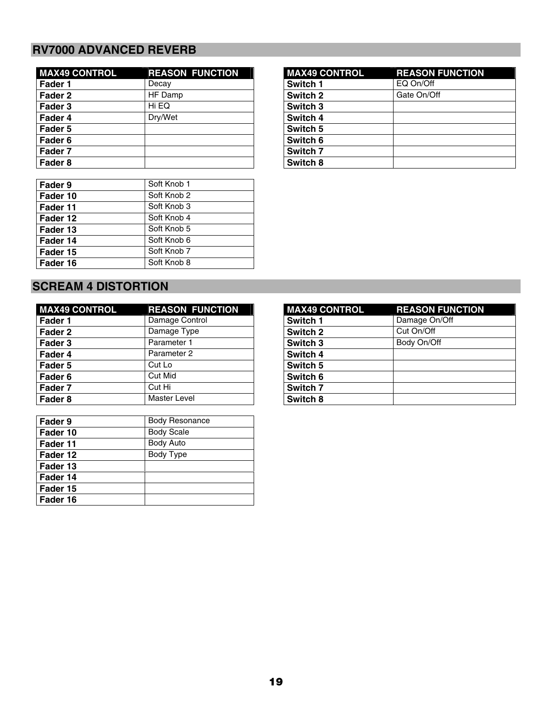### **RV7000 ADVANCED REVERB**

| <b>MAX49 CONTROL</b> | <b>REASON FUNCTION</b> | <b>MAX49 CONTROL</b> | <b>REASON F</b> |
|----------------------|------------------------|----------------------|-----------------|
| Fader 1              | Decay                  | Switch 1             | EQ On/Off       |
| Fader 2              | HF Damp                | Switch 2             | Gate On/Off     |
| Fader 3              | Hi EQ                  | Switch 3             |                 |
| Fader 4              | Dry/Wet                | Switch 4             |                 |
| Fader 5              |                        | Switch 5             |                 |
| Fader 6              |                        | Switch 6             |                 |
| Fader 7              |                        | Switch 7             |                 |
| Fader 8              |                        | Switch 8             |                 |

| Fader 9  | Soft Knob 1 |
|----------|-------------|
| Fader 10 | Soft Knob 2 |
| Fader 11 | Soft Knob 3 |
| Fader 12 | Soft Knob 4 |
| Fader 13 | Soft Knob 5 |
| Fader 14 | Soft Knob 6 |
| Fader 15 | Soft Knob 7 |
| Fader 16 | Soft Knob 8 |

### **MAX49 CONTROL REASON FUNCTION Switch 3 Switch 4 Switch 5 Switch 6 Switch 7 Switch 8**

### **SCREAM 4 DISTORTION**

| <b>MAX49 CONTROL</b> | <b>REASON FUNCTION</b> | <b>MAX49 CONTROL</b> | <b>REASON FUNCTION</b> |
|----------------------|------------------------|----------------------|------------------------|
| Fader 1              | Damage Control         | Switch 1             | Damage On/Off          |
| Fader 2              | Damage Type            | Switch 2             | Cut On/Off             |
| Fader 3              | Parameter 1            | Switch 3             | Body On/Off            |
| Fader 4              | Parameter 2            | Switch 4             |                        |
| Fader 5              | Cut Lo                 | Switch 5             |                        |
| Fader 6              | Cut Mid                | Switch 6             |                        |
| Fader 7              | Cut Hi                 | Switch 7             |                        |
| Fader 8              | <b>Master Level</b>    | Switch 8             |                        |

| Fader 9  | <b>Body Resonance</b> |
|----------|-----------------------|
| Fader 10 | <b>Body Scale</b>     |
| Fader 11 | <b>Body Auto</b>      |
| Fader 12 | Body Type             |
| Fader 13 |                       |
| Fader 14 |                       |
| Fader 15 |                       |
| Fader 16 |                       |

| <b>MAX49 CONTROL</b> | <b>REASON FUNCTION</b> |
|----------------------|------------------------|
| <b>Switch 1</b>      | Damage On/Off          |
| Switch 2             | Cut On/Off             |
| Switch 3             | Body On/Off            |
| Switch 4             |                        |
| Switch 5             |                        |
| Switch 6             |                        |
| <b>Switch 7</b>      |                        |
| Switch 8             |                        |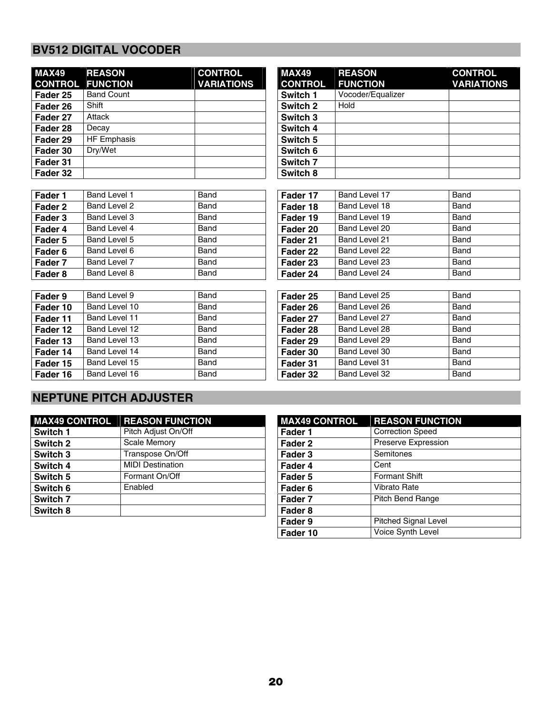# **BV512 DIGITAL VOCODER**

| <b>MAX49</b><br><b>CONTROL</b> | <b>REASON</b><br><b>FUNCTION</b> | <b>CONTROL</b><br><b>VARIATIONS</b> | <b>MAX49</b><br><b>CONTROL</b> | <b>REASON</b><br><b>FUNCTION</b> |
|--------------------------------|----------------------------------|-------------------------------------|--------------------------------|----------------------------------|
| Fader 25                       | <b>Band Count</b>                |                                     | Switch 1                       | Vocoder/Equalizer                |
| Fader 26                       | Shift                            |                                     | Switch 2                       | Hold                             |
| Fader 27                       | Attack                           |                                     | Switch 3                       |                                  |
| Fader 28                       | Decay                            |                                     | Switch 4                       |                                  |
| Fader 29                       | <b>HF Emphasis</b>               |                                     | Switch 5                       |                                  |
| Fader 30                       | Dry/Wet                          |                                     | Switch 6                       |                                  |
| Fader 31                       |                                  |                                     | Switch 7                       |                                  |
| Fader 32                       |                                  |                                     | Switch 8                       |                                  |

| <b>MAX49</b><br><b>CONTROL</b> | <b>REASON</b><br><b>FUNCTION</b> | <b>CONTROL</b><br><b>VARIATIONS</b> |
|--------------------------------|----------------------------------|-------------------------------------|
| Switch 1                       | Vocoder/Equalizer                |                                     |
| Switch 2                       | Hold                             |                                     |
| Switch 3                       |                                  |                                     |
| Switch 4                       |                                  |                                     |
| Switch 5                       |                                  |                                     |
| Switch 6                       |                                  |                                     |
| Switch <sub>7</sub>            |                                  |                                     |
| Switch 8                       |                                  |                                     |

| Fader 1 | Band Level 1 | Band | Fader 17 | Band Level 17 | Band |
|---------|--------------|------|----------|---------------|------|
| Fader 2 | Band Level 2 | Band | Fader 18 | Band Level 18 | Band |
| Fader 3 | Band Level 3 | Band | Fader 19 | Band Level 19 | Band |
| Fader 4 | Band Level 4 | Band | Fader 20 | Band Level 20 | Band |
| Fader 5 | Band Level 5 | Band | Fader 21 | Band Level 21 | Band |
| Fader 6 | Band Level 6 | Band | Fader 22 | Band Level 22 | Band |
| Fader 7 | Band Level 7 | Band | Fader 23 | Band Level 23 | Band |
| Fader 8 | Band Level 8 | Band | Fader 24 | Band Level 24 | Band |
|         |              |      |          |               |      |

| Fader 17 | Band Level 17 | Band |
|----------|---------------|------|
| Fader 18 | Band Level 18 | Band |
| Fader 19 | Band Level 19 | Band |
| Fader 20 | Band Level 20 | Band |
| Fader 21 | Band Level 21 | Band |
| Fader 22 | Band Level 22 | Band |
| Fader 23 | Band Level 23 | Band |
| Fader 24 | Band Level 24 | Band |

| Fader 9  | Band Level 9  | Band | Fader 25 | Band Level 25 | Band |
|----------|---------------|------|----------|---------------|------|
| Fader 10 | Band Level 10 | Band | Fader 26 | Band Level 26 | Band |
| Fader 11 | Band Level 11 | Band | Fader 27 | Band Level 27 | Band |
| Fader 12 | Band Level 12 | Band | Fader 28 | Band Level 28 | Band |
| Fader 13 | Band Level 13 | Band | Fader 29 | Band Level 29 | Band |
| Fader 14 | Band Level 14 | Band | Fader 30 | Band Level 30 | Band |
| Fader 15 | Band Level 15 | Band | Fader 31 | Band Level 31 | Band |
| Fader 16 | Band Level 16 | Band | Fader 32 | Band Level 32 | Band |
|          |               |      |          |               |      |

| Fader 25 | Band Level 25 | Band |
|----------|---------------|------|
| Fader 26 | Band Level 26 | Band |
| Fader 27 | Band Level 27 | Band |
| Fader 28 | Band Level 28 | Band |
| Fader 29 | Band Level 29 | Band |
| Fader 30 | Band Level 30 | Band |
| Fader 31 | Band Level 31 | Band |
| Fader 32 | Band Level 32 | Band |

## **NEPTUNE PITCH ADJUSTER**

| <b>MAX49 CONTROL</b> | <b>REASON FUNCTION</b>  | <b>MAX49 CONTROL</b> | <b>REASON FUNCTION</b>  |
|----------------------|-------------------------|----------------------|-------------------------|
| Switch 1             | Pitch Adjust On/Off     | Fader 1              | <b>Correction Speed</b> |
| Switch 2             | Scale Memory            | Fader 2              | Preserve Expression     |
| Switch 3             | Transpose On/Off        | Fader 3              | Semitones               |
| Switch 4             | <b>MIDI Destination</b> | Fader 4              | Cent                    |
| Switch 5             | Formant On/Off          | Fader 5              | <b>Formant Shift</b>    |
| Switch 6             | Enabled                 | Fader <sub>6</sub>   | Vibrato Rate            |
| Switch 7             |                         | Fader 7              | Pitch Bend Range        |
| Switch 8             |                         | Fader <sub>8</sub>   |                         |
|                      |                         |                      |                         |

| <b>MAX49 CONTROL</b> | <b>REASON FUNCTION</b>  |
|----------------------|-------------------------|
| Fader 1              | <b>Correction Speed</b> |
| Fader 2              | Preserve Expression     |
| Fader 3              | Semitones               |
| Fader 4              | Cent                    |
| Fader 5              | <b>Formant Shift</b>    |
| Fader <sub>6</sub>   | <b>Vibrato Rate</b>     |
| Fader 7              | <b>Pitch Bend Range</b> |
| Fader <sub>8</sub>   |                         |
| Fader 9              | Pitched Signal Level    |
| Fader 10             | Voice Synth Level       |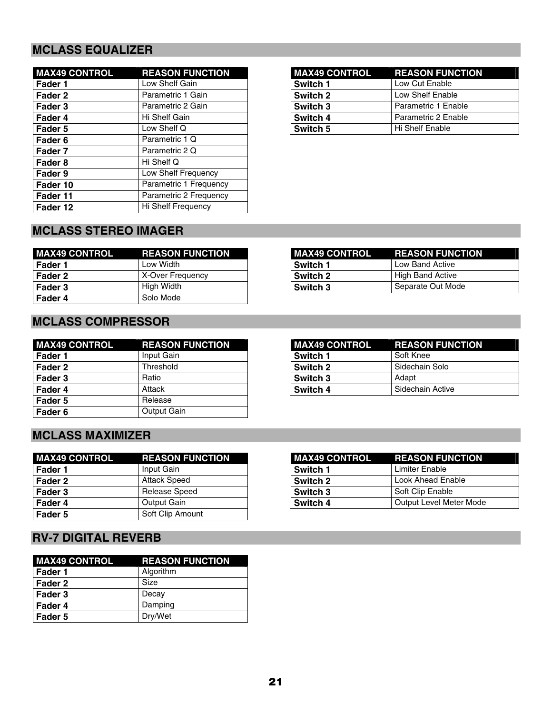## **MCLASS EQUALIZER**

| <b>MAX49 CONTROL</b> | <b>REASON FUNCTION</b> | <b>MAX49 CONTROL</b> | <b>REASON FUNCTION</b> |
|----------------------|------------------------|----------------------|------------------------|
| Fader 1              | Low Shelf Gain         | Switch 1             | Low Cut Enable         |
| Fader 2              | Parametric 1 Gain      | Switch 2             | Low Shelf Enable       |
| Fader 3              | Parametric 2 Gain      | Switch 3             | Parametric 1 Enable    |
| Fader 4              | Hi Shelf Gain          | Switch 4             | Parametric 2 Enable    |
| Fader 5              | Low Shelf Q            | Switch 5             | Hi Shelf Enable        |
| Fader 6              | Parametric 1 Q         |                      |                        |
| Fader 7              | Parametric 2 Q         |                      |                        |
| Fader 8              | Hi Shelf Q             |                      |                        |
| Fader 9              | Low Shelf Frequency    |                      |                        |
| Fader 10             | Parametric 1 Frequency |                      |                        |
| Fader 11             | Parametric 2 Frequency |                      |                        |
| Fader 12             | Hi Shelf Frequency     |                      |                        |

|          | <b>MAX49 CONTROL REASON FUNCTION</b> |
|----------|--------------------------------------|
| Switch 1 | Low Cut Enable                       |
| Switch 2 | Low Shelf Enable                     |
| Switch 3 | Parametric 1 Enable                  |
| Switch 4 | Parametric 2 Enable                  |
| Switch 5 | Hi Shelf Enable                      |

# **MCLASS STEREO IMAGER**

| <b>MAX49 CONTROL</b> | <b>REASON FUNCTION</b> | <b>MAX49 CONTROL</b> | <b>REASON FUNCTION</b> |
|----------------------|------------------------|----------------------|------------------------|
| l Fader 1            | Low Width              | Switch 1             | Low Band Active        |
| Fader 2              | X-Over Frequency       | Switch 2             | High Band Active       |
| Fader 3              | High Width             | Switch 3             | l Separate Out Mode    |
| Fader 4              | Solo Mode              |                      |                        |

| <b>MAX49 CONTROL</b> | <b>REASON FUNCTION</b> | <b>MAX49 CONTROL</b> | <b>REASON FUNCTION</b> |
|----------------------|------------------------|----------------------|------------------------|
| Fader 1              | Input Gain             | Switch 1             | Soft Knee              |
| Fader 2              | Threshold              | Switch 2             | Sidechain Solo         |
| Fader 3              | Ratio                  | Switch 3             | Adapt                  |
| Fader 4              | Attack                 | Switch 4             | Sidechain Active       |
| Fader 5              | Release                |                      |                        |
| Fader 6              | Output Gain            |                      |                        |

| <b>MAX49 CONTROL</b> | <b>REASON FUNCTION</b> | <b>MAX49 CONTROL</b> | <b>REASON FUNCTION</b>  |
|----------------------|------------------------|----------------------|-------------------------|
| Fader 1              | Input Gain             | <b>Switch 1</b>      | Limiter Enable          |
| Fader 2              | <b>Attack Speed</b>    | <b>Switch 2</b>      | Look Ahead Enable       |
| Fader 3              | Release Speed          | <b>Switch 3</b>      | Soft Clip Enable        |
| Fader 4              | Output Gain            | <b>Switch 4</b>      | Output Level Meter Mode |
| Fader 5              | Soft Clip Amount       |                      |                         |

# **RV-7 DIGITAL REVERB**

| <b>MAX49 CONTROL</b> | <b>REASON FUNCTION</b> |
|----------------------|------------------------|
| Fader 1              | Algorithm              |
| Fader 2              | Size                   |
| Fader 3              | Decay                  |
| Fader 4              | Damping                |
| Fader 5              | Dry/Wet                |

| <b>MAX49 CONTROL</b><br><u>and the second second</u> | <b>REASON FUNCTION</b> |
|------------------------------------------------------|------------------------|
| Switch 1                                             | Low Band Active        |
| Switch 2                                             | High Band Active       |
| Switch 3                                             | Separate Out Mode      |

|          | <b>MAX49 CONTROL REASON FUNCTION</b> |
|----------|--------------------------------------|
| Switch 1 | Soft Knee                            |
| Switch 2 | Sidechain Solo                       |
| Switch 3 | Adapt                                |
| Switch 4 | Sidechain Active                     |

| MAX49 CONTROL REASON FUNCTION |                         |  |
|-------------------------------|-------------------------|--|
| Switch 1                      | Limiter Enable          |  |
| <b>Switch 2</b>               | Look Ahead Enable       |  |
| Switch 3                      | Soft Clip Enable        |  |
| Switch 4                      | Output Level Meter Mode |  |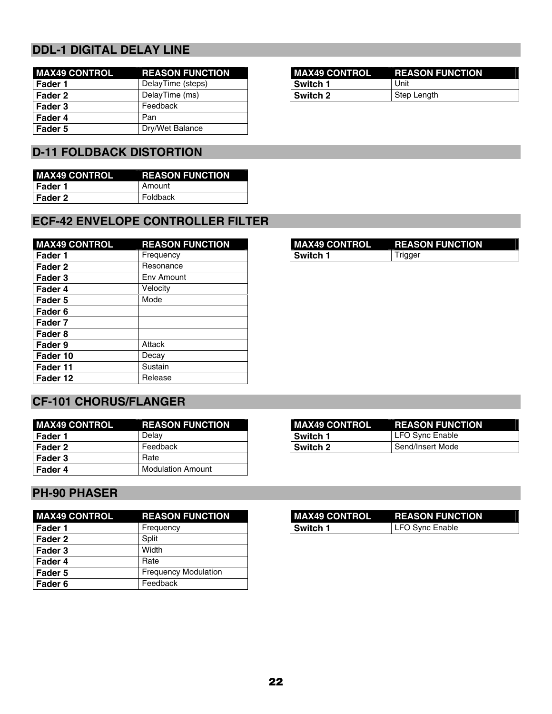## **DDL-1 DIGITAL DELAY LINE**

| <b>MAX49 CONTROL</b> | <b>REASON FUNCTION</b> | <b>MAX49 CONTROL</b> | <b>REASON FUNCTION</b> |
|----------------------|------------------------|----------------------|------------------------|
| Fader 1              | DelayTime (steps)      | Switch 1             | Unit                   |
| Fader 2              | DelayTime (ms)         | Switch 2             | Step Length            |
| Fader 3              | Feedback               |                      |                        |
| Fader 4              | Pan                    |                      |                        |
| Fader 5              | Dry/Wet Balance        |                      |                        |

| MAX49 CONTROL | <b>REASON FUNCTION</b> |
|---------------|------------------------|
| I Switch 1    | Unit                   |
| l Switch 2    | Step Length            |

## **D-11 FOLDBACK DISTORTION**

| <b>MAX49 CONTROL</b> | <b>REASON FUNCTION</b> |
|----------------------|------------------------|
| l Fader 1            | l Amount               |
| l Fader 2            | Foldback               |

## **ECF-42 ENVELOPE CONTROLLER FILTER**

| <b>MAX49 CONTROL</b> | <b>REASON FUNCTION</b> | <b>MAX49 CONTROL</b> | <b>REASON FUNCTION</b> |
|----------------------|------------------------|----------------------|------------------------|
| Fader 1              | Frequency              | Switch 1             | Trigger                |
| Fader 2              | Resonance              |                      |                        |
| Fader 3              | Env Amount             |                      |                        |
| Fader 4              | Velocity               |                      |                        |
| Fader 5              | Mode                   |                      |                        |
| Fader 6              |                        |                      |                        |
| Fader 7              |                        |                      |                        |
| Fader 8              |                        |                      |                        |
| Fader 9              | Attack                 |                      |                        |
| Fader 10             | Decay                  |                      |                        |
| Fader 11             | Sustain                |                      |                        |
| Fader 12             | Release                |                      |                        |

## **CF-101 CHORUS/FLANGER**

| <b>MAX49 CONTROL</b> | <b>REASON FUNCTION</b> | MAX49 CONTROL   | <b>REASON FUNCTION</b> |
|----------------------|------------------------|-----------------|------------------------|
| Fader 1              | Delav                  | <b>Switch 1</b> | l LFO Svnc Enable      |
| Fader 2              | Feedback               | Switch 2        | Send/Insert Mode       |
| Fader 3              | Rate                   |                 |                        |
| Fader 4              | Modulation Amount      |                 |                        |

### **PH-90 PHASER**

| <b>MAX49 CONTROL</b> | <b>REASON FUNCTION</b>      | <b>MAX49 CONTROL</b> | <b>REASON FUNCTION</b> |
|----------------------|-----------------------------|----------------------|------------------------|
| Fader <sub>1</sub>   | Frequency                   | Switch 1             | LFO Sync Enable        |
| Fader 2              | Split                       |                      |                        |
| Fader 3              | Width                       |                      |                        |
| Fader 4              | Rate                        |                      |                        |
| Fader 5              | <b>Frequency Modulation</b> |                      |                        |
| Fader 6              | Feedback                    |                      |                        |

|          | I MAX49 CONTROL REASON FUNCTION |
|----------|---------------------------------|
| Switch 1 | Trigger                         |
|          |                                 |

| <b>MAX49 CONTROL</b> | <b>REASON FUNCTION</b> |
|----------------------|------------------------|
| Switch 1             | LFO Sync Enable        |
| <b>Switch 2</b>      | Send/Insert Mode       |

| MAX49 CONTROL REASON FUNCTION |                 |
|-------------------------------|-----------------|
| <b>Switch 1</b>               | LFO Sync Enable |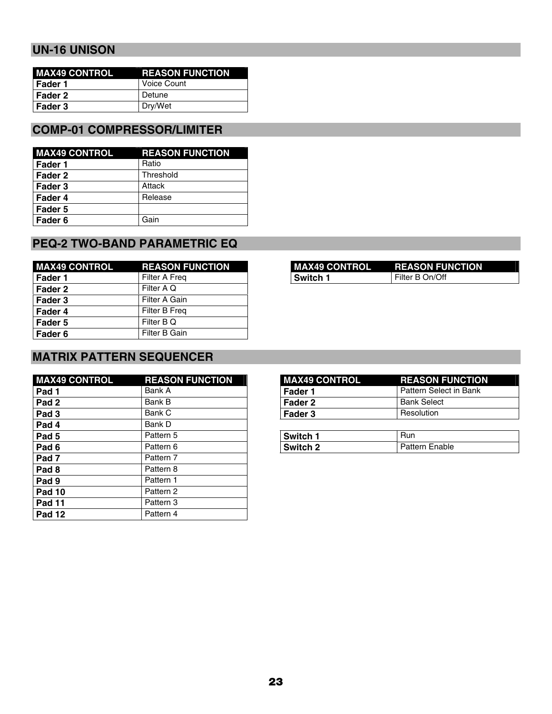### **UN-16 UNISON**

| <b>MAX49 CONTROL</b> | <b>REASON FUNCTION</b> |
|----------------------|------------------------|
| l Fader 1            | Voice Count            |
| l Fader 2            | Detune                 |
| l Fader 3            | Dry/Wet                |

### **COMP-01 COMPRESSOR/LIMITER**

| <b>MAX49 CONTROL</b> | <b>REASON FUNCTION</b> |
|----------------------|------------------------|
| Fader 1              | Ratio                  |
| Fader 2              | Threshold              |
| Fader 3              | Attack                 |
| Fader 4              | Release                |
| Fader 5              |                        |
| Fader 6              | Gain                   |

### **PEQ-2 TWO-BAND PARAMETRIC EQ**

| <b>MAX49 CONTROL</b> | <b>REASON FUNCTION</b> | <b>MAX49 CONTROL</b> | <b>REASON FUNCTION</b> |
|----------------------|------------------------|----------------------|------------------------|
| Fader 1              | Filter A Freq          | <b>Switch 1</b>      | Filter B On/Off        |
| Fader 2              | Filter A Q             |                      |                        |
| Fader 3              | Filter A Gain          |                      |                        |
| Fader 4              | Filter B Freq          |                      |                        |
| Fader 5              | Filter B Q             |                      |                        |
| Fader 6              | Filter B Gain          |                      |                        |

### **MATRIX PATTERN SEQUENCER**

| <b>MAX49 CONTROL</b> | <b>REASON FUNCTION</b> | <b>MAX49 CONTROL</b> | <b>REASON FUNCTION</b> |
|----------------------|------------------------|----------------------|------------------------|
| Pad 1                | Bank A                 | Fader 1              | Pattern Select in Bank |
| Pad <sub>2</sub>     | Bank B                 | Fader 2              | <b>Bank Select</b>     |
| Pad <sub>3</sub>     | Bank C                 | Fader 3              | Resolution             |
| Pad 4                | Bank D                 |                      |                        |
| Pad <sub>5</sub>     | Pattern 5              | Switch 1             | <b>Run</b>             |
| Pad <sub>6</sub>     | Pattern 6              | Switch 2             | <b>Pattern Enable</b>  |
| Pad <sub>7</sub>     | Pattern 7              |                      |                        |
| Pad <sub>8</sub>     | Pattern 8              |                      |                        |
| Pad 9                | Pattern 1              |                      |                        |
| <b>Pad 10</b>        | Pattern 2              |                      |                        |
| <b>Pad 11</b>        | Pattern 3              |                      |                        |
| <b>Pad 12</b>        | Pattern 4              |                      |                        |

| MAX49 CONTROL | <b>REASON FUNCTION</b> |
|---------------|------------------------|
| l Switch 1    | Filter B On/Off        |

| <b>MAX49 CONTROL</b> | <b>REASON FUNCTION</b>   |
|----------------------|--------------------------|
| l Fader 1            | l Pattern Select in Bank |
| Fader 2              | <b>Bank Select</b>       |
| Fader 3              | <b>Resolution</b>        |
|                      |                          |

| Switch 1 | Hun                   |
|----------|-----------------------|
| Switch 2 | <b>Pattern Enable</b> |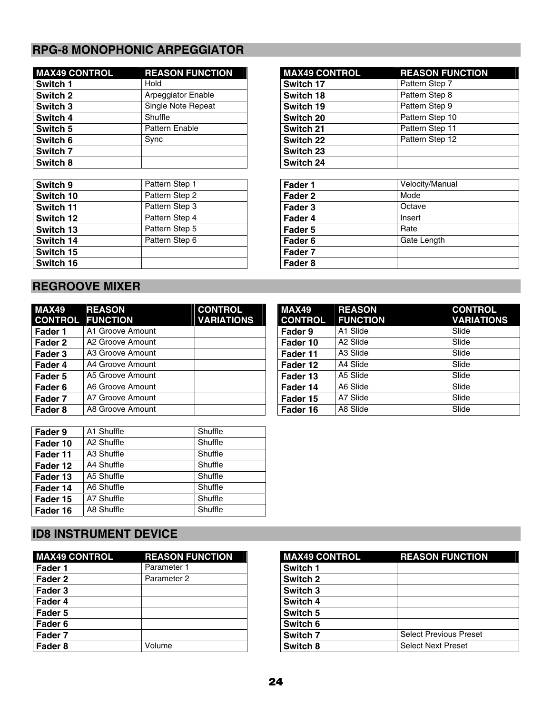# **RPG-8 MONOPHONIC ARPEGGIATOR**

| <b>MAX49 CONTROL</b> | <b>REASON FUNCTION</b> | <b>MAX49 CONTROL</b> | <b>REASON FUNCTION</b> |
|----------------------|------------------------|----------------------|------------------------|
| Switch 1             | Hold                   | Switch 17            | Pattern Step 7         |
| Switch 2             | Arpeggiator Enable     | Switch 18            | Pattern Step 8         |
| Switch 3             | Single Note Repeat     | Switch 19            | Pattern Step 9         |
| Switch 4             | Shuffle                | Switch 20            | Pattern Step 10        |
| Switch 5             | Pattern Enable         | Switch 21            | Pattern Step 11        |
| Switch 6             | Sync                   | Switch 22            | Pattern Step 12        |
| Switch 7             |                        | Switch 23            |                        |
| Switch 8             |                        | Switch 24            |                        |

| Switch 9  | Pattern Step 1 | Fader 1 | Velocity/Manual |
|-----------|----------------|---------|-----------------|
| Switch 10 | Pattern Step 2 | Fader 2 | Mode            |
| Switch 11 | Pattern Step 3 | Fader 3 | Octave          |
| Switch 12 | Pattern Step 4 | Fader 4 | Insert          |
| Switch 13 | Pattern Step 5 | Fader 5 | Rate            |
| Switch 14 | Pattern Step 6 | Fader 6 | Gate Length     |
| Switch 15 |                | Fader 7 |                 |
| Switch 16 |                | Fader 8 |                 |

| <b>MAX49 CONTROL</b> | <b>REASON FUNCTION</b> |
|----------------------|------------------------|
| Switch 17            | Pattern Step 7         |
| Switch 18            | Pattern Step 8         |
| Switch 19            | Pattern Step 9         |
| Switch 20            | Pattern Step 10        |
| Switch 21            | Pattern Step 11        |
| <b>Switch 22</b>     | Pattern Step 12        |
| Switch 23            |                        |
| Switch 24            |                        |

| Fader 1            | Velocity/Manual |
|--------------------|-----------------|
| Fader 2            | Mode            |
| Fader 3            | Octave          |
| Fader 4            | Insert          |
| Fader 5            | Rate            |
| Fader <sub>6</sub> | Gate Length     |
| Fader 7            |                 |
| Fader 8            |                 |
|                    |                 |

### **REGROOVE MIXER**

| <b>MAX49</b><br><b>CONTROL</b> | <b>REASON</b><br><b>FUNCTION</b> | <b>CONTROL</b><br><b>VARIATIONS</b> | <b>MAX49</b><br><b>CONTROL</b> | <b>REASON</b><br><b>FUNCTION</b> | <b>CON</b><br><b>VAR</b> |
|--------------------------------|----------------------------------|-------------------------------------|--------------------------------|----------------------------------|--------------------------|
| Fader 1                        | A1 Groove Amount                 |                                     | Fader 9                        | A1 Slide                         | Slide                    |
| Fader 2                        | A2 Groove Amount                 |                                     | Fader 10                       | A <sub>2</sub> Slide             | Slide                    |
| Fader 3                        | A3 Groove Amount                 |                                     | Fader 11                       | A <sub>3</sub> Slide             | Slide                    |
| Fader 4                        | A4 Groove Amount                 |                                     | Fader 12                       | A4 Slide                         | Slide                    |
| Fader 5                        | A5 Groove Amount                 |                                     | Fader 13                       | A5 Slide                         | Slide                    |
| Fader 6                        | A6 Groove Amount                 |                                     | Fader 14                       | A6 Slide                         | Slide                    |
| Fader 7                        | A7 Groove Amount                 |                                     | Fader 15                       | A7 Slide                         | Slide                    |
| Fader 8                        | A8 Groove Amount                 |                                     | Fader 16                       | A8 Slide                         | Slide                    |

| Fader 9  | A1 Shuffle | Shuffle |
|----------|------------|---------|
| Fader 10 | A2 Shuffle | Shuffle |
| Fader 11 | A3 Shuffle | Shuffle |
| Fader 12 | A4 Shuffle | Shuffle |
| Fader 13 | A5 Shuffle | Shuffle |
| Fader 14 | A6 Shuffle | Shuffle |
| Fader 15 | A7 Shuffle | Shuffle |
| Fader 16 | A8 Shuffle | Shuffle |

| MAX49                   | <b>REASON</b>        | <b>CONTROL</b>    |
|-------------------------|----------------------|-------------------|
| <b>CONTROL FUNCTION</b> |                      | <b>VARIATIONS</b> |
| <b>Fader 9</b>          | A1 Slide             | Slide             |
| Fader 10                | A <sub>2</sub> Slide | Slide             |
| Fader 11                | A <sub>3</sub> Slide | Slide             |
| Fader 12                | A4 Slide             | Slide             |
| Fader 13                | A5 Slide             | Slide             |
| Fader 14                | A6 Slide             | Slide             |
| Fader 15                | A7 Slide             | Slide             |
| Fader 16                | A8 Slide             | Slide             |

## **ID8 INSTRUMENT DEVICE**

| <b>MAX49 CONTROL</b> | <b>REASON FUNCTION</b> | <b>MAX49 CONTROL</b> | <b>REASON FUNCTION</b>        |
|----------------------|------------------------|----------------------|-------------------------------|
| Fader 1              | Parameter 1            | Switch 1             |                               |
| Fader 2              | Parameter 2            | Switch 2             |                               |
| Fader 3              |                        | Switch 3             |                               |
| Fader 4              |                        | Switch 4             |                               |
| Fader 5              |                        | Switch 5             |                               |
| Fader <sub>6</sub>   |                        | Switch 6             |                               |
| Fader 7              |                        | Switch 7             | <b>Select Previous Preset</b> |
| Fader 8              | Volume                 | Switch 8             | <b>Select Next Preset</b>     |

| <b>MAX49 CONTROL</b> | <b>REASON FUNCTION</b>        |
|----------------------|-------------------------------|
| Switch 1             |                               |
| <b>Switch 2</b>      |                               |
| <b>Switch 3</b>      |                               |
| <b>Switch 4</b>      |                               |
| <b>Switch 5</b>      |                               |
| <b>Switch 6</b>      |                               |
| <b>Switch 7</b>      | <b>Select Previous Preset</b> |
| <b>Switch 8</b>      | <b>Select Next Preset</b>     |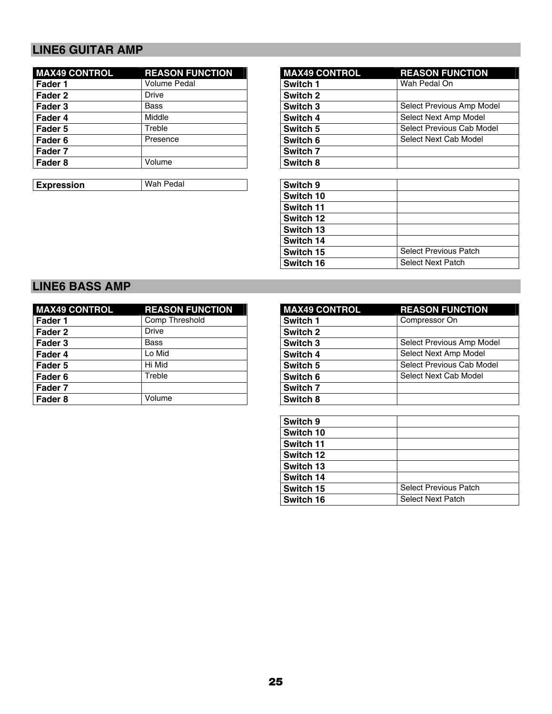# **LINE6 GUITAR AMP**

| <b>REASON FUNCTION</b> | <b>MAX49 CONTROL</b> | <b>REASON FUNCTION</b>  |
|------------------------|----------------------|-------------------------|
| <b>Volume Pedal</b>    | Switch 1             | Wah Pedal On            |
| Drive                  | Switch 2             |                         |
| Bass                   | Switch 3             | Select Previous Amp Mo  |
| Middle                 | Switch 4             | Select Next Amp Model   |
| Treble                 | Switch 5             | Select Previous Cab Mod |
| Presence               | Switch 6             | Select Next Cab Model   |
|                        | Switch 7             |                         |
| Volume                 | Switch 8             |                         |
|                        |                      |                         |

**Expression Wah Pedal** 

| <b>MAX49 CONTROL</b> | <b>REASON FUNCTION</b> | <b>MAX49 CONTROL</b> | <b>REASON FUNCTION</b>    |
|----------------------|------------------------|----------------------|---------------------------|
| Fader 1              | <b>Volume Pedal</b>    | Switch 1             | Wah Pedal On              |
| Fader 2              | Drive                  | Switch 2             |                           |
| Fader 3              | Bass                   | Switch 3             | Select Previous Amp Model |
| Fader 4              | Middle                 | Switch 4             | Select Next Amp Model     |
| Fader 5              | Treble                 | Switch 5             | Select Previous Cab Model |
| Fader 6              | Presence               | Switch 6             | Select Next Cab Model     |
| Fader 7              |                        | Switch 7             |                           |
| Fader 8              | Volume                 | Switch 8             |                           |

| Switch 9  |                              |
|-----------|------------------------------|
| Switch 10 |                              |
| Switch 11 |                              |
| Switch 12 |                              |
| Switch 13 |                              |
| Switch 14 |                              |
| Switch 15 | <b>Select Previous Patch</b> |
| Switch 16 | <b>Select Next Patch</b>     |
|           |                              |

### **LINE6 BASS AMP**

| <b>MAX49 CONTROL</b> | <b>REASON FUNCTION</b> | <b>MAX49 CONTROL</b> | <b>REASON FUNCTION</b>  |
|----------------------|------------------------|----------------------|-------------------------|
| Fader 1              | Comp Threshold         | Switch 1             | Compressor On           |
| Fader 2              | Drive                  | Switch 2             |                         |
| Fader 3              | Bass                   | Switch 3             | Select Previous Amp Mo  |
| Fader 4              | Lo Mid                 | Switch 4             | Select Next Amp Model   |
| Fader 5              | Hi Mid                 | Switch 5             | Select Previous Cab Mod |
| Fader 6              | Treble                 | Switch 6             | Select Next Cab Model   |
| Fader 7              |                        | Switch 7             |                         |
| Fader 8              | Volume                 | Switch 8             |                         |

| <b>MAX49 CONTROL</b> | <b>REASON FUNCTION</b> | <b>MAX49 CONTROL</b> | <b>REASON FUNCTION</b>    |
|----------------------|------------------------|----------------------|---------------------------|
| Fader 1              | Comp Threshold         | Switch 1             | Compressor On             |
| Fader 2              | <b>Drive</b>           | Switch 2             |                           |
| Fader 3              | Bass                   | Switch 3             | Select Previous Amp Model |
| Fader 4              | Lo Mid                 | Switch 4             | Select Next Amp Model     |
| Fader 5              | Hi Mid                 | Switch 5             | Select Previous Cab Model |
| Fader 6              | Treble                 | Switch 6             | Select Next Cab Model     |
| Fader 7              |                        | Switch 7             |                           |
| Fader 8              | Volume                 | Switch 8             |                           |

| Switch 9  |                              |
|-----------|------------------------------|
| Switch 10 |                              |
| Switch 11 |                              |
| Switch 12 |                              |
| Switch 13 |                              |
| Switch 14 |                              |
| Switch 15 | <b>Select Previous Patch</b> |
| Switch 16 | <b>Select Next Patch</b>     |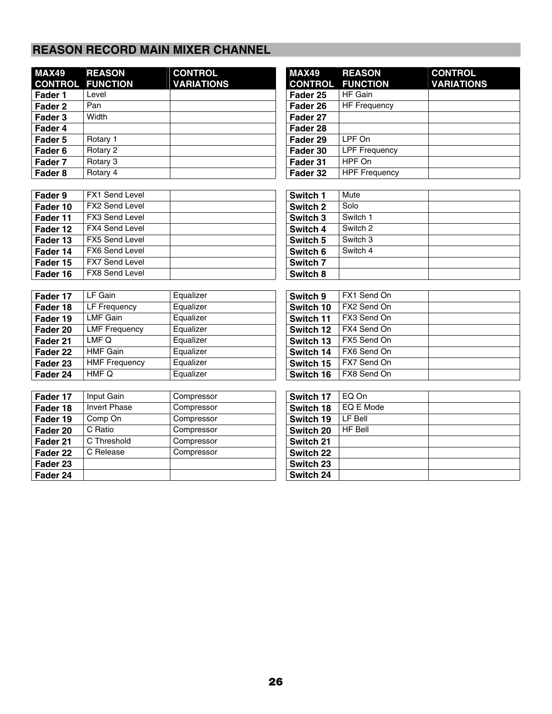## **REASON RECORD MAIN MIXER CHANNEL**

| <b>MAX49</b>       | <b>REASON</b><br><b>CONTROL FUNCTION</b> | <b>CONTROL</b><br><b>VARIATIONS</b> | <b>MAX49</b><br><b>CONTROL</b> | <b>REASON</b><br><b>FUNCTION</b> |
|--------------------|------------------------------------------|-------------------------------------|--------------------------------|----------------------------------|
| Fader 1            | Level                                    |                                     | Fader 25                       | HF Gain                          |
| Fader 2            | Pan                                      |                                     | Fader 26                       | <b>HF Frequency</b>              |
| Fader 3            | Width                                    |                                     | Fader 27                       |                                  |
| Fader 4            |                                          |                                     | Fader 28                       |                                  |
| Fader 5            | Rotary 1                                 |                                     | Fader 29                       | LPF On                           |
| Fader 6            | Rotary 2                                 |                                     | Fader 30                       | <b>LPF Frequency</b>             |
| Fader 7            | Rotary 3                                 |                                     | Fader 31                       | HPF On                           |
| Fader <sub>8</sub> | Rotary 4                                 |                                     | Fader 32                       | <b>HPF Frequency</b>             |

| MAX49<br><b>CONTROL</b> | <b>REASON</b><br><b>FUNCTION</b> | <b>CONTROL</b><br><b>VARIATIONS</b> |
|-------------------------|----------------------------------|-------------------------------------|
| Fader 25                | HF Gain                          |                                     |
| Fader 26                | <b>HF Frequency</b>              |                                     |
| Fader 27                |                                  |                                     |
| Fader 28                |                                  |                                     |
| Fader 29                | LPF On                           |                                     |
| Fader 30                | <b>LPF Frequency</b>             |                                     |
| Fader 31                | HPF On                           |                                     |
| Fader 32                | <b>HPF Frequency</b>             |                                     |

| Fader 9  | <b>FX1 Send Level</b> | Switch 1 | Mute     |
|----------|-----------------------|----------|----------|
| Fader 10 | <b>FX2 Send Level</b> | Switch 2 | Solo     |
| Fader 11 | FX3 Send Level        | Switch 3 | Switch 1 |
| Fader 12 | <b>FX4 Send Level</b> | Switch 4 | Switch 2 |
| Fader 13 | <b>FX5 Send Level</b> | Switch 5 | Switch 3 |
| Fader 14 | <b>FX6 Send Level</b> | Switch 6 | Switch 4 |
| Fader 15 | <b>FX7 Send Level</b> | Switch 7 |          |
| Fader 16 | <b>FX8 Send Level</b> | Switch 8 |          |

| Fader 17 | LF Gain              | Equalizer | Switch 9  | FX1 Send On |
|----------|----------------------|-----------|-----------|-------------|
| Fader 18 | LF Frequency         | Equalizer | Switch 10 | FX2 Send On |
| Fader 19 | <b>LMF Gain</b>      | Equalizer | Switch 11 | FX3 Send On |
| Fader 20 | <b>LMF Frequency</b> | Equalizer | Switch 12 | FX4 Send On |
| Fader 21 | LMF Q                | Equalizer | Switch 13 | FX5 Send On |
| Fader 22 | <b>HMF Gain</b>      | Equalizer | Switch 14 | FX6 Send On |
| Fader 23 | <b>HMF Frequency</b> | Equalizer | Switch 15 | FX7 Send On |
| Fader 24 | HMF Q                | Equalizer | Switch 16 | FX8 Send On |

| Fader 17 | Input Gain          | Compressor | Switch 17 | EQ On          |
|----------|---------------------|------------|-----------|----------------|
| Fader 18 | <b>Invert Phase</b> | Compressor | Switch 18 | EQ E Mode      |
| Fader 19 | Comp On             | Compressor | Switch 19 | LF Bell        |
| Fader 20 | C Ratio             | Compressor | Switch 20 | <b>HF Bell</b> |
| Fader 21 | C Threshold         | Compressor | Switch 21 |                |
| Fader 22 | C Release           | Compressor | Switch 22 |                |
| Fader 23 |                     |            | Switch 23 |                |
| Fader 24 |                     |            | Switch 24 |                |
|          |                     |            |           |                |

| Switch 1 | Mute     |  |
|----------|----------|--|
| Switch 2 | Solo     |  |
| Switch 3 | Switch 1 |  |
| Switch 4 | Switch 2 |  |
| Switch 5 | Switch 3 |  |
| Switch 6 | Switch 4 |  |
| Switch 7 |          |  |
| Switch 8 |          |  |

| Switch 9  | FX1 Send On |  |
|-----------|-------------|--|
| Switch 10 | FX2 Send On |  |
| Switch 11 | FX3 Send On |  |
| Switch 12 | FX4 Send On |  |
| Switch 13 | FX5 Send On |  |
| Switch 14 | FX6 Send On |  |
| Switch 15 | FX7 Send On |  |
| Switch 16 | FX8 Send On |  |

| Switch 17 | EQ On          |  |
|-----------|----------------|--|
| Switch 18 | EQ E Mode      |  |
| Switch 19 | LF Bell        |  |
| Switch 20 | <b>HF Bell</b> |  |
| Switch 21 |                |  |
| Switch 22 |                |  |
| Switch 23 |                |  |
| Switch 24 |                |  |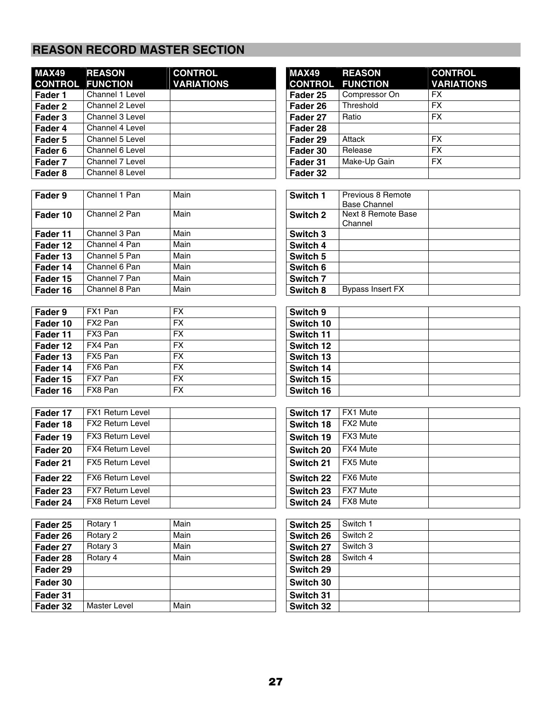# **REASON RECORD MASTER SECTION**

| <b>MAX49</b> | <b>REASON</b><br><b>CONTROL FUNCTION</b> | <b>CONTROL</b><br><b>VARIATIONS</b> | <b>MAX49</b><br><b>CONTROL</b> | <b>REASON</b><br><b>FUNCTION</b> | cc<br>VA  |
|--------------|------------------------------------------|-------------------------------------|--------------------------------|----------------------------------|-----------|
| Fader 1      | Channel 1 Level                          |                                     | Fader 25                       | Compressor On                    | FX        |
| Fader 2      | Channel 2 Level                          |                                     | Fader 26                       | Threshold                        | <b>FX</b> |
| Fader 3      | Channel 3 Level                          |                                     | Fader 27                       | Ratio                            | <b>FX</b> |
| Fader 4      | Channel 4 Level                          |                                     | Fader 28                       |                                  |           |
| Fader 5      | Channel 5 Level                          |                                     | Fader 29                       | Attack                           | <b>FX</b> |
| Fader 6      | Channel 6 Level                          |                                     | Fader 30                       | Release                          | <b>FX</b> |
| Fader 7      | Channel 7 Level                          |                                     | Fader 31                       | Make-Up Gain                     | <b>FX</b> |
| Fader 8      | Channel 8 Level                          |                                     | Fader 32                       |                                  |           |

| Fader 9  | Channel 1 Pan | Main | Switch 1            | Previous 8 Remote<br><b>Base Channel</b> |
|----------|---------------|------|---------------------|------------------------------------------|
| Fader 10 | Channel 2 Pan | Main | Switch 2            | Next 8 Remote Base<br>Channel            |
| Fader 11 | Channel 3 Pan | Main | Switch 3            |                                          |
| Fader 12 | Channel 4 Pan | Main | Switch 4            |                                          |
| Fader 13 | Channel 5 Pan | Main | Switch 5            |                                          |
| Fader 14 | Channel 6 Pan | Main | Switch 6            |                                          |
| Fader 15 | Channel 7 Pan | Main | Switch <sub>7</sub> |                                          |
| Fader 16 | Channel 8 Pan | Main | Switch 8            | <b>Bypass Insert FX</b>                  |

| Fader 9  | FX1 Pan | <b>FX</b> | Switch 9  |
|----------|---------|-----------|-----------|
| Fader 10 | FX2 Pan | <b>FX</b> | Switch 10 |
| Fader 11 | FX3 Pan | <b>FX</b> | Switch 11 |
| Fader 12 | FX4 Pan | <b>FX</b> | Switch 12 |
| Fader 13 | FX5 Pan | <b>FX</b> | Switch 13 |
| Fader 14 | FX6 Pan | <b>FX</b> | Switch 14 |
| Fader 15 | FX7 Pan | <b>FX</b> | Switch 15 |
| Fader 16 | FX8 Pan | <b>FX</b> | Switch 16 |

| Fader 17 | <b>FX1 Return Level</b> | Switch 17 | FX1 Mute |
|----------|-------------------------|-----------|----------|
| Fader 18 | <b>FX2 Return Level</b> | Switch 18 | FX2 Mute |
| Fader 19 | <b>FX3 Return Level</b> | Switch 19 | FX3 Mute |
| Fader 20 | <b>FX4 Return Level</b> | Switch 20 | FX4 Mute |
| Fader 21 | <b>FX5 Return Level</b> | Switch 21 | FX5 Mute |
| Fader 22 | <b>FX6 Return Level</b> | Switch 22 | FX6 Mute |
| Fader 23 | <b>FX7 Return Level</b> | Switch 23 | FX7 Mute |
| Fader 24 | <b>FX8 Return Level</b> | Switch 24 | FX8 Mute |

| Fader 25 | Rotary 1            | Main | Switch 25 | Switch 1 |
|----------|---------------------|------|-----------|----------|
| Fader 26 | Rotary 2            | Main | Switch 26 | Switch 2 |
| Fader 27 | Rotary 3            | Main | Switch 27 | Switch 3 |
| Fader 28 | Rotary 4            | Main | Switch 28 | Switch 4 |
| Fader 29 |                     |      | Switch 29 |          |
| Fader 30 |                     |      | Switch 30 |          |
| Fader 31 |                     |      | Switch 31 |          |
| Fader 32 | <b>Master Level</b> | Main | Switch 32 |          |

| <b>MAX49</b>        | <b>REASON</b>                             | <b>CONTROL</b>    |
|---------------------|-------------------------------------------|-------------------|
| <b>CONTROL</b>      | <b>FUNCTION</b>                           | <b>VARIATIONS</b> |
| Fader 25            | Compressor On                             | <b>FX</b>         |
| Fader 26            | Threshold                                 | $\overline{FX}$   |
| Fader 27            | Ratio                                     | <b>FX</b>         |
| Fader 28            |                                           |                   |
| Fader 29            | Attack                                    | <b>FX</b>         |
| Fader 30            | Release                                   | <b>FX</b>         |
| Fader 31            | Make-Up Gain                              | <b>FX</b>         |
| Fader 32            |                                           |                   |
|                     |                                           |                   |
| Switch 1            | Previous 8 Remote                         |                   |
| Switch <sub>2</sub> | <b>Base Channel</b><br>Next 8 Remote Base |                   |
|                     | Channel                                   |                   |
| Switch 3            |                                           |                   |
| Switch 4            |                                           |                   |
| Switch 5            |                                           |                   |
| Switch 6            |                                           |                   |
| Switch 7            |                                           |                   |
| Switch 8            | <b>Bypass Insert FX</b>                   |                   |
|                     |                                           |                   |
| Switch 9            |                                           |                   |
| Switch 10           |                                           |                   |
| Switch 11           |                                           |                   |
| Switch 12           |                                           |                   |
| Switch 13           |                                           |                   |
| Switch 14           |                                           |                   |
| Switch 15           |                                           |                   |
| Switch 16           |                                           |                   |
|                     |                                           |                   |
| Switch 17           | FX1 Mute                                  |                   |
| Switch 18           | FX2 Mute                                  |                   |
|                     |                                           |                   |

| Switch 17 | <b>FAI MULLE</b> |  |
|-----------|------------------|--|
| Switch 18 | FX2 Mute         |  |
| Switch 19 | FX3 Mute         |  |
| Switch 20 | FX4 Mute         |  |
| Switch 21 | FX5 Mute         |  |
| Switch 22 | FX6 Mute         |  |
| Switch 23 | <b>FX7 Mute</b>  |  |
| Switch 24 | <b>FX8 Mute</b>  |  |

| Switch 25        | Switch 1 |  |
|------------------|----------|--|
| Switch 26        | Switch 2 |  |
| Switch 27        | Switch 3 |  |
| Switch 28        | Switch 4 |  |
| <b>Switch 29</b> |          |  |
| Switch 30        |          |  |
| Switch 31        |          |  |
| Switch 32        |          |  |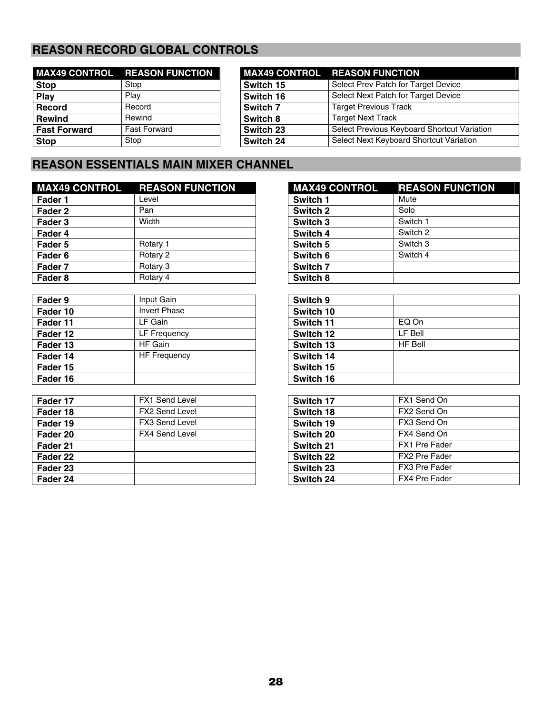# **REASON RECORD GLOBAL CONTROLS**

|                     | <b>MAX49 CONTROL REASON FUNCTION</b> |           | <b>MAX49 CONTROL REASON FUNCTION</b> |
|---------------------|--------------------------------------|-----------|--------------------------------------|
| <b>Stop</b>         | Stop                                 | Switch 15 | Select Prev Patch for Tar            |
| Play                | Play                                 | Switch 16 | Select Next Patch for Tar            |
| <b>Record</b>       | Record                               | Switch 7  | <b>Target Previous Track</b>         |
| <b>Rewind</b>       | Rewind                               | Switch 8  | Target Next Track                    |
| <b>Fast Forward</b> | <b>Fast Forward</b>                  | Switch 23 | Select Previous Keyboard             |
| <b>Stop</b>         | Stop                                 | Switch 24 | Select Next Keyboard Sh              |

|                     | <b>MAX49 CONTROL REASON FUNCTION</b> |           | <b>MAX49 CONTROL REASON FUNCTION</b>        |
|---------------------|--------------------------------------|-----------|---------------------------------------------|
| Stop                | Stop                                 | Switch 15 | Select Prev Patch for Target Device         |
| Play                | Plav                                 | Switch 16 | Select Next Patch for Target Device         |
| Record              | Record                               | Switch 7  | <b>Target Previous Track</b>                |
| <b>Rewind</b>       | Rewind                               | Switch 8  | <b>Target Next Track</b>                    |
| <b>Fast Forward</b> | <b>Fast Forward</b>                  | Switch 23 | Select Previous Keyboard Shortcut Variation |
| <b>Stop</b>         | Stop                                 | Switch 24 | Select Next Keyboard Shortcut Variation     |

# **REASON ESSENTIALS MAIN MIXER CHANNEL**

| <b>MAX49 CONTROL</b> | <b>REASON FUNCTION</b> | <b>MAX49 CONTROL</b> | <b>REASON FUNCTION</b> |
|----------------------|------------------------|----------------------|------------------------|
| Fader 1              | Level                  | Switch 1             | Mute                   |
| Fader 2              | Pan                    | Switch 2             | Solo                   |
| Fader 3              | Width                  | Switch 3             | Switch 1               |
| Fader 4              |                        | Switch 4             | Switch 2               |
| Fader 5              | Rotary 1               | Switch 5             | Switch 3               |
| Fader 6              | Rotary 2               | Switch 6             | Switch 4               |
| Fader 7              | Rotary 3               | Switch <sub>7</sub>  |                        |
| Fader 8              | Rotary 4               | Switch 8             |                        |

| Fader 9  | Input Gain          | Switch 9  |                |
|----------|---------------------|-----------|----------------|
| Fader 10 | Invert Phase        | Switch 10 |                |
| Fader 11 | LF Gain             | Switch 11 | EQ On          |
| Fader 12 | LF Frequency        | Switch 12 | LF Bell        |
| Fader 13 | HF Gain             | Switch 13 | <b>HF Bell</b> |
| Fader 14 | <b>HF Frequency</b> | Switch 14 |                |
| Fader 15 |                     | Switch 15 |                |
| Fader 16 |                     | Switch 16 |                |

| Fader 17 | <b>FX1 Send Level</b> | Switch 17 | FX1 Send On   |
|----------|-----------------------|-----------|---------------|
| Fader 18 | <b>FX2 Send Level</b> | Switch 18 | FX2 Send On   |
| Fader 19 | <b>FX3 Send Level</b> | Switch 19 | FX3 Send On   |
| Fader 20 | <b>FX4 Send Level</b> | Switch 20 | FX4 Send On   |
| Fader 21 |                       | Switch 21 | FX1 Pre Fader |
| Fader 22 |                       | Switch 22 | FX2 Pre Fader |
| Fader 23 |                       | Switch 23 | FX3 Pre Fader |
| Fader 24 |                       | Switch 24 | FX4 Pre Fader |

| <b>MAX49 CONTROL</b> | <b>REASON FUNCTION</b> |
|----------------------|------------------------|
| Switch 1             | Mute                   |
| Switch 2             | Solo                   |
| Switch 3             | Switch 1               |
| Switch 4             | Switch 2               |
| Switch 5             | Switch 3               |
| Switch 6             | Switch 4               |
| Switch 7             |                        |
| Switch 8             |                        |

| Switch 9  |                |
|-----------|----------------|
| Switch 10 |                |
| Switch 11 | EQ On          |
| Switch 12 | LF Bell        |
| Switch 13 | <b>HF Bell</b> |
| Switch 14 |                |
| Switch 15 |                |
| Switch 16 |                |
|           |                |

| Switch 17 | FX1 Send On          |
|-----------|----------------------|
| Switch 18 | FX2 Send On          |
| Switch 19 | FX3 Send On          |
| Switch 20 | FX4 Send On          |
| Switch 21 | <b>FX1 Pre Fader</b> |
| Switch 22 | FX2 Pre Fader        |
| Switch 23 | <b>FX3 Pre Fader</b> |
| Switch 24 | <b>FX4 Pre Fader</b> |
|           |                      |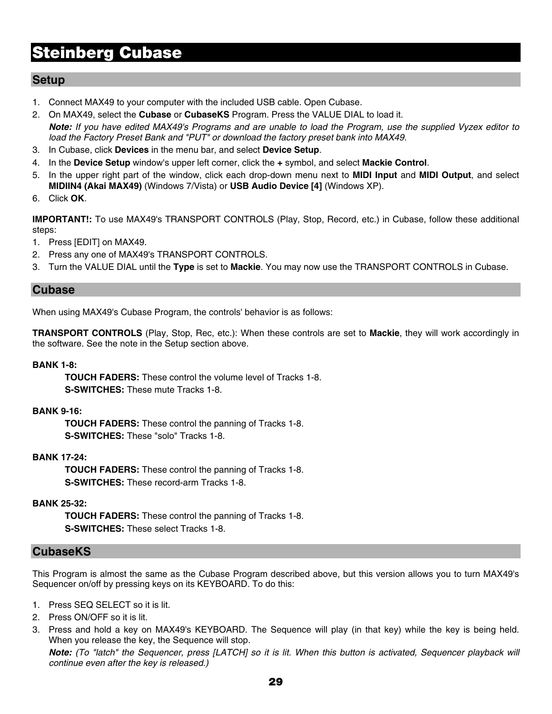# **Steinberg Cubase**

### **Setup**

- 1. Connect MAX49 to your computer with the included USB cable. Open Cubase.
- 2. On MAX49, select the **Cubase** or **CubaseKS** Program. Press the VALUE DIAL to load it. *Note: If you have edited MAX49's Programs and are unable to load the Program, use the supplied Vyzex editor to load the Factory Preset Bank and "PUT" or download the factory preset bank into MAX49.*
- 3. In Cubase, click **Devices** in the menu bar, and select **Device Setup**.
- 4. In the **Device Setup** window's upper left corner, click the **+** symbol, and select **Mackie Control**.
- 5. In the upper right part of the window, click each drop-down menu next to **MIDI Input** and **MIDI Output**, and select **MIDIIN4 (Akai MAX49)** (Windows 7/Vista) or **USB Audio Device [4]** (Windows XP).
- 6. Click **OK**.

**IMPORTANT!:** To use MAX49's TRANSPORT CONTROLS (Play, Stop, Record, etc.) in Cubase, follow these additional steps:

- 1. Press [EDIT] on MAX49.
- 2. Press any one of MAX49's TRANSPORT CONTROLS.
- 3. Turn the VALUE DIAL until the **Type** is set to **Mackie**. You may now use the TRANSPORT CONTROLS in Cubase.

### **Cubase**

When using MAX49's Cubase Program, the controls' behavior is as follows:

**TRANSPORT CONTROLS** (Play, Stop, Rec, etc.): When these controls are set to **Mackie**, they will work accordingly in the software. See the note in the Setup section above.

#### **BANK 1-8:**

**TOUCH FADERS:** These control the volume level of Tracks 1-8. **S-SWITCHES:** These mute Tracks 1-8.

#### **BANK 9-16:**

**TOUCH FADERS:** These control the panning of Tracks 1-8. **S-SWITCHES:** These "solo" Tracks 1-8.

#### **BANK 17-24:**

**TOUCH FADERS:** These control the panning of Tracks 1-8. **S-SWITCHES:** These record-arm Tracks 1-8.

#### **BANK 25-32:**

**TOUCH FADERS:** These control the panning of Tracks 1-8. **S-SWITCHES:** These select Tracks 1-8.

#### **CubaseKS**

This Program is almost the same as the Cubase Program described above, but this version allows you to turn MAX49's Sequencer on/off by pressing keys on its KEYBOARD. To do this:

- 1. Press SEQ SELECT so it is lit.
- 2. Press ON/OFF so it is lit.
- 3. Press and hold a key on MAX49's KEYBOARD. The Sequence will play (in that key) while the key is being held. When you release the key, the Sequence will stop.

*Note: (To "latch" the Sequencer, press [LATCH] so it is lit. When this button is activated, Sequencer playback will continue even after the key is released.)*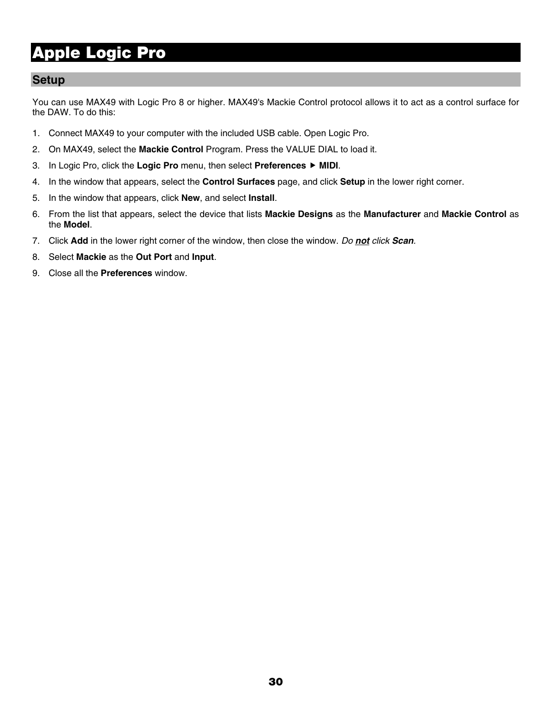# **Apple Logic Pro**

### **Setup**

You can use MAX49 with Logic Pro 8 or higher. MAX49's Mackie Control protocol allows it to act as a control surface for the DAW. To do this:

- 1. Connect MAX49 to your computer with the included USB cable. Open Logic Pro.
- 2. On MAX49, select the **Mackie Control** Program. Press the VALUE DIAL to load it.
- 3. In Logic Pro, click the **Logic Pro** menu, then select **Preferences** f **MIDI**.
- 4. In the window that appears, select the **Control Surfaces** page, and click **Setup** in the lower right corner.
- 5. In the window that appears, click **New**, and select **Install**.
- 6. From the list that appears, select the device that lists **Mackie Designs** as the **Manufacturer** and **Mackie Control** as the **Model**.
- 7. Click **Add** in the lower right corner of the window, then close the window. *Do not click Scan.*
- 8. Select **Mackie** as the **Out Port** and **Input**.
- 9. Close all the **Preferences** window.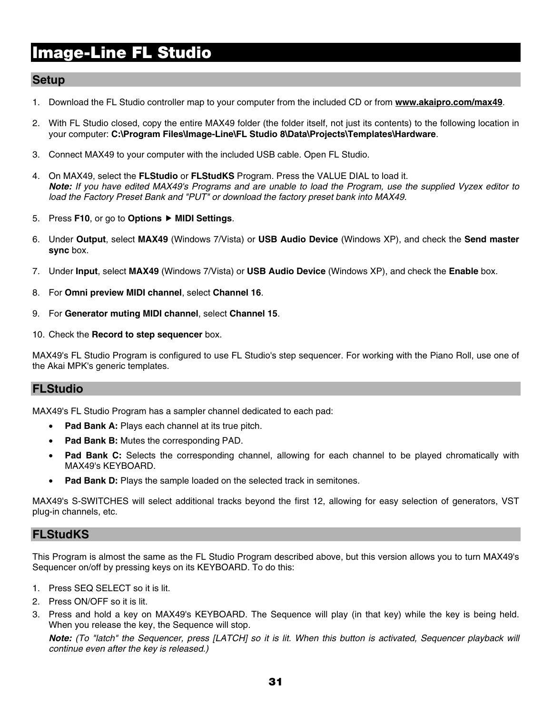# **Image-Line FL Studio**

### **Setup**

- 1. Download the FL Studio controller map to your computer from the included CD or from **www.akaipro.com/max49**.
- 2. With FL Studio closed, copy the entire MAX49 folder (the folder itself, not just its contents) to the following location in your computer: **C:\Program Files\Image-Line\FL Studio 8\Data\Projects\Templates\Hardware**.
- 3. Connect MAX49 to your computer with the included USB cable. Open FL Studio.
- 4. On MAX49, select the **FLStudio** or **FLStudKS** Program. Press the VALUE DIAL to load it. *Note: If you have edited MAX49's Programs and are unable to load the Program, use the supplied Vyzex editor to load the Factory Preset Bank and "PUT" or download the factory preset bank into MAX49.*
- 5. Press **F10**, or go to **Options** f **MIDI Settings**.
- 6. Under **Output**, select **MAX49** (Windows 7/Vista) or **USB Audio Device** (Windows XP), and check the **Send master sync** box.
- 7. Under **Input**, select **MAX49** (Windows 7/Vista) or **USB Audio Device** (Windows XP), and check the **Enable** box.
- 8. For **Omni preview MIDI channel**, select **Channel 16**.
- 9. For **Generator muting MIDI channel**, select **Channel 15**.
- 10. Check the **Record to step sequencer** box.

MAX49's FL Studio Program is configured to use FL Studio's step sequencer. For working with the Piano Roll, use one of the Akai MPK's generic templates.

### **FLStudio**

MAX49's FL Studio Program has a sampler channel dedicated to each pad:

- **Pad Bank A:** Plays each channel at its true pitch.
- **Pad Bank B:** Mutes the corresponding PAD.
- **Pad Bank C:** Selects the corresponding channel, allowing for each channel to be played chromatically with MAX49's KEYBOARD.
- **Pad Bank D:** Plays the sample loaded on the selected track in semitones.

MAX49's S-SWITCHES will select additional tracks beyond the first 12, allowing for easy selection of generators, VST plug-in channels, etc.

#### **FLStudKS**

This Program is almost the same as the FL Studio Program described above, but this version allows you to turn MAX49's Sequencer on/off by pressing keys on its KEYBOARD. To do this:

- 1. Press SEQ SELECT so it is lit.
- 2. Press ON/OFF so it is lit.
- 3. Press and hold a key on MAX49's KEYBOARD. The Sequence will play (in that key) while the key is being held. When you release the key, the Sequence will stop.

*Note: (To "latch" the Sequencer, press [LATCH] so it is lit. When this button is activated, Sequencer playback will continue even after the key is released.)*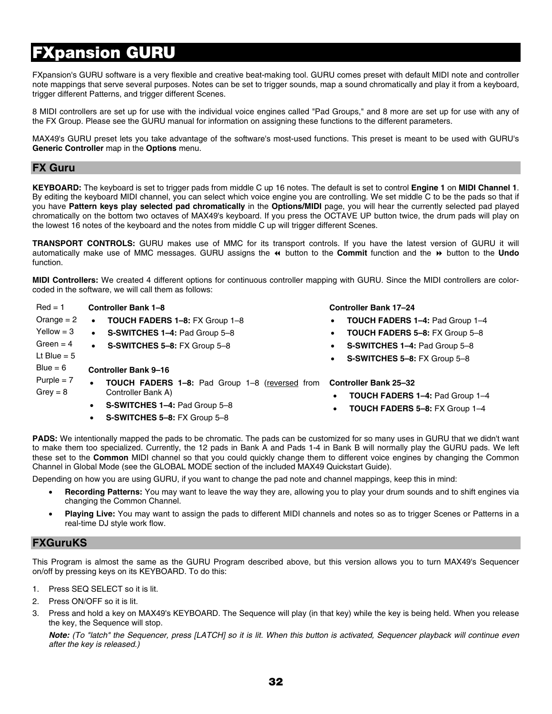# **FXpansion GURU**

FXpansion's GURU software is a very flexible and creative beat-making tool. GURU comes preset with default MIDI note and controller note mappings that serve several purposes. Notes can be set to trigger sounds, map a sound chromatically and play it from a keyboard, trigger different Patterns, and trigger different Scenes.

8 MIDI controllers are set up for use with the individual voice engines called "Pad Groups," and 8 more are set up for use with any of the FX Group. Please see the GURU manual for information on assigning these functions to the different parameters.

MAX49's GURU preset lets you take advantage of the software's most-used functions. This preset is meant to be used with GURU's **Generic Controller** map in the **Options** menu.

#### **FX Guru**

**KEYBOARD:** The keyboard is set to trigger pads from middle C up 16 notes. The default is set to control **Engine 1** on **MIDI Channel 1**. By editing the keyboard MIDI channel, you can select which voice engine you are controlling. We set middle C to be the pads so that if you have **Pattern keys play selected pad chromatically** in the **Options/MIDI** page, you will hear the currently selected pad played chromatically on the bottom two octaves of MAX49's keyboard. If you press the OCTAVE UP button twice, the drum pads will play on the lowest 16 notes of the keyboard and the notes from middle C up will trigger different Scenes.

**TRANSPORT CONTROLS:** GURU makes use of MMC for its transport controls. If you have the latest version of GURU it will automatically make use of MMC messages. GURU assigns the button to the **Commit** function and the button to the **Undo**  function.

**MIDI Controllers:** We created 4 different options for continuous controller mapping with GURU. Since the MIDI controllers are colorcoded in the software, we will call them as follows:

| $Red = 1$     | <b>Controller Bank 1-8</b>                                  | <b>Controller Bank 17-24</b>                        |
|---------------|-------------------------------------------------------------|-----------------------------------------------------|
| Orange $= 2$  | <b>TOUCH FADERS 1-8: FX Group 1-8</b><br>$\bullet$          | TOUCH FADERS 1-4: Pad Group 1-4<br>$\bullet$        |
| $Yellow = 3$  | S-SWITCHES 1-4: Pad Group 5-8<br>$\bullet$                  | TOUCH FADERS 5-8: FX Group 5-8<br>$\bullet$         |
| Green = $4$   | S-SWITCHES 5-8: FX Group 5-8<br>$\bullet$                   | S-SWITCHES 1-4: Pad Group 5-8<br>$\bullet$          |
| Lt Blue = $5$ |                                                             | S-SWITCHES 5-8: FX Group 5-8<br>$\bullet$           |
| Blue = $6$    | <b>Controller Bank 9-16</b>                                 |                                                     |
| $P$ urple = 7 | TOUCH FADERS 1-8: Pad Group 1-8 (reversed from<br>$\bullet$ | <b>Controller Bank 25-32</b>                        |
| $Grey = 8$    | Controller Bank A)                                          | <b>TOUCH FADERS 1-4: Pad Group 1-4</b><br>$\bullet$ |
|               | S-SWITCHES 1-4: Pad Group 5-8<br>$\bullet$                  | TOUCH FADERS 5-8: FX Group 1-4<br>$\bullet$         |
|               | S-SWITCHES 5-8: FX Group 5-8<br>$\bullet$                   |                                                     |

**PADS:** We intentionally mapped the pads to be chromatic. The pads can be customized for so many uses in GURU that we didn't want to make them too specialized. Currently, the 12 pads in Bank A and Pads 1-4 in Bank B will normally play the GURU pads. We left these set to the **Common** MIDI channel so that you could quickly change them to different voice engines by changing the Common Channel in Global Mode (see the GLOBAL MODE section of the included MAX49 Quickstart Guide).

Depending on how you are using GURU, if you want to change the pad note and channel mappings, keep this in mind:

- **Recording Patterns:** You may want to leave the way they are, allowing you to play your drum sounds and to shift engines via changing the Common Channel.
- **Playing Live:** You may want to assign the pads to different MIDI channels and notes so as to trigger Scenes or Patterns in a real-time DJ style work flow.

#### **FXGuruKS**

This Program is almost the same as the GURU Program described above, but this version allows you to turn MAX49's Sequencer on/off by pressing keys on its KEYBOARD. To do this:

- 1. Press SEQ SELECT so it is lit.
- 2. Press ON/OFF so it is lit.
- 3. Press and hold a key on MAX49's KEYBOARD. The Sequence will play (in that key) while the key is being held. When you release the key, the Sequence will stop.

*Note: (To "latch" the Sequencer, press [LATCH] so it is lit. When this button is activated, Sequencer playback will continue even after the key is released.)*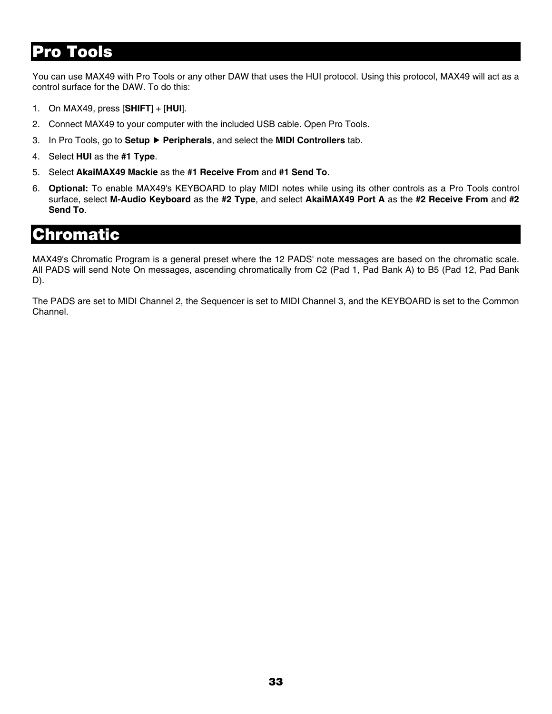# **Pro Tools**

You can use MAX49 with Pro Tools or any other DAW that uses the HUI protocol. Using this protocol, MAX49 will act as a control surface for the DAW. To do this:

- 1. On MAX49, press [**SHIFT**] + [**HUI**].
- 2. Connect MAX49 to your computer with the included USB cable. Open Pro Tools.
- 3. In Pro Tools, go to **Setup** f **Peripherals**, and select the **MIDI Controllers** tab.
- 4. Select **HUI** as the **#1 Type**.
- 5. Select **AkaiMAX49 Mackie** as the **#1 Receive From** and **#1 Send To**.
- 6. **Optional:** To enable MAX49's KEYBOARD to play MIDI notes while using its other controls as a Pro Tools control surface, select **M-Audio Keyboard** as the **#2 Type**, and select **AkaiMAX49 Port A** as the **#2 Receive From** and **#2 Send To**.

# **Chromatic**

MAX49's Chromatic Program is a general preset where the 12 PADS' note messages are based on the chromatic scale. All PADS will send Note On messages, ascending chromatically from C2 (Pad 1, Pad Bank A) to B5 (Pad 12, Pad Bank D).

The PADS are set to MIDI Channel 2, the Sequencer is set to MIDI Channel 3, and the KEYBOARD is set to the Common Channel.